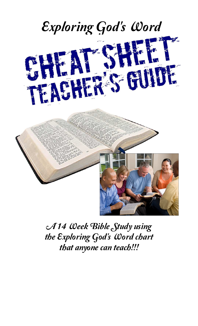

*A 14 Week Bible Study using the Exploring God's Word chart that anyone can teach!!!*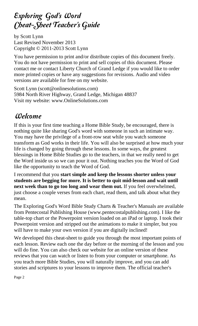# *Exploring God's Word Cheat-Sheet Teacher's Guide*

by Scott Lynn Last Revised November 2013 Copyright © 2011-2013 Scott Lynn

You have permission to print and/or distribute copies of this document freely. You do not have permission to print and sell copies of this document. Please contact me or contact Liberty Church of Grand Ledge if you would like to order more printed copies or have any suggestions for revisions. Audio and video versions are available for free on my website.

Scott Lynn (scott@onlinesolutions.com) 5984 North River Highway, Grand Ledge, Michigan 48837 Visit my website: www.OnlineSolutions.com

# *Welcome*

If this is your first time teaching a Home Bible Study, be encouraged, there is nothing quite like sharing God's word with someone in such an intimate way. You may have the privilege of a front-row seat while you watch someone transform as God works in their life. You will also be surprised at how much your life is changed by going through these lessons. In some ways, the greatest blessings in Home Bible Studies go to the teachers, in that we really need to get the Word inside us so we can pour it out. Nothing teaches you the Word of God like the opportunity to teach the Word of God.

I recommend that you **start simple and keep the lessons shorter unless your students are begging for more. It is better to quit mid-lesson and wait until next week than to go too long and wear them out.** If you feel overwhelmed, just choose a couple verses from each chart, read them, and talk about what they mean.

The Exploring God's Word Bible Study Charts & Teacher's Manuals are available from Pentecostal Publishing House (www.pentecostalpublishing.com). I like the table-top chart or the Powerpoint version loaded on an iPad or laptop. I took their Powerpoint version and stripped out the animations to make it simpler, but you will have to make your own version if you are digitally inclined!

We developed this cheat-sheet to guide you through the most important points of each lesson. Review each one the day before or the morning of the lesson and you will do fine. You can also check our website for an online version of these reviews that you can watch or listen to from your computer or smartphone. As you teach more Bible Studies, you will naturally improve, and you can add stories and scriptures to your lessons to improve them. The official teacher's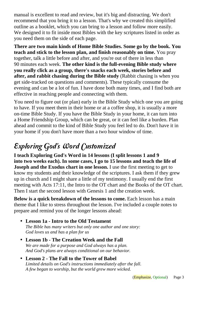manual is excellent to read and review, but it's big and distracting. We don't recommend that you bring it to a lesson. That's why we created this simplified outline as a booklet, which you can bring to a lesson and follow more easily. We designed it to fit inside most Bibles with the key scriptures listed in order as you need them on the side of each page.

**There are two main kinds of Home Bible Studies. Some go by the book. You teach and stick to the lesson plan, and finish reasonably on time.** You pray together, talk a little before and after, and you're out of there in less than 90 minutes each week. **The other kind is the full-evening Bible study where you really click as a group, there's snacks each week, stories before and after, and rabbit chasing during the Bible study** (Rabbit chasing is when you get side-tracked on questions and comments). These typically consume the evening and can be a lot of fun. I have done both many times, and I find both are effective in reaching people and connecting with them.

You need to figure out (or plan) early in the Bible Study which one you are going to have. If you meet them in their home or at a coffee shop, it is usually a more on-time Bible Study. If you have the Bible Study in your home, it can turn into a Home Friendship Group, which can be great, or it can feel like a burden. Plan ahead and commit to the kind of Bible Study you feel led to do. Don't have it in your home if you don't have more than a two hour window of time.

# *Exploring God's Word Customized*

**I teach Exploring God's Word in 14 lessons (I split lessons 1 and 9 into two weeks each). In some cases, I go to 15 lessons and teach the life of Joseph and the Exodus chart in one lesson.** I use the first meeting to get to know my students and their knowledge of the scriptures. I ask them if they grew up in church and I might share a little of my testimony. I usually end the first meeting with Acts 17:11, the Intro to the OT chart and the Books of the OT chart. Then I start the second lesson with Genesis 1 and the creation week.

**Below is a quick breakdown of the lessons to come.** Each lesson has a main theme that I like to stress throughout the lesson. I've included a couple notes to prepare and remind you of the longer lessons ahead:

- **Lesson 1a Intro to the Old Testament**  *The Bible has many writers but only one author and one story: God loves us and has a plan for us*
- **Lesson 1b The Creation Week and the Fall** *We are made for a purpose and God always has a plan. And God's plans are always conditional on our behavior.*
- **Lesson 2 The Fall to the Tower of Babel**  *Limited details on God's instructions immediately after the fall. A few began to worship, but the world grew more wicked.*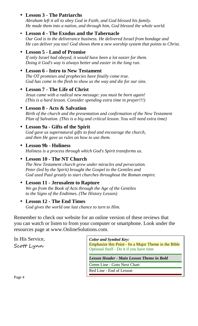# • **Lesson 3 - The Patriarchs**

*Abraham left it all to obey God in Faith, and God blessed his family. He made them into a nation, and through him, God blessed the whole world.*

# • **Lesson 4 - The Exodus and the Tabernacle**

*Our God is in the deliverance business. He delivered Israel from bondage and He can deliver you too! God shows them a new worship system that points to Christ.* 

# • **Lesson 5 - Land of Promise**

*If only Israel had obeyed, it would have been a lot easier for them. Doing it God's way is always better and easier in the long run.*

# • **Lesson 6 - Intro to New Testament**

*The OT promises and prophecies have finally come true. God has come in the flesh to show us the way and die for our sins.*

# • **Lesson 7 - The Life of Christ**

*Jesus came with a radical new message: you must be born again! (This is a hard lesson. Consider spending extra time in prayer!!!)*

#### • **Lesson 8 - Acts & Salvation** *Birth of the church and the presentation and confirmation of the New Testament Plan of Salvation. (This is a big and critical lesson. You will need extra time)*

# • **Lesson 9a - Gifts of the Spirit**

*God gave us supernatural gifts to feed and encourage the church, and then He gave us rules on how to use them.*

# • **Lesson 9b - Holiness**

*Holiness is a process through which God's Spirit transforms us.*

# • **Lesson 10 - The NT Church**

*The New Testament church grew under miracles and persecution. Peter (led by the Spirit) brought the Gospel to the Gentiles and God used Paul greatly to start churches throughout the Roman empire.*

# • **Lesson 11 - Jerusalem to Rapture**

*We go from the Book of Acts through the Age of the Gentiles to the Signs of the Endtimes. (The History Lesson)*

# • **Lesson 12 - The End Times**

*God gives the world one last chance to turn to Him.*

Remember to check our website for an online version of these reviews that you can watch or listen to from your computer or smartphone. Look under the resources page at www.OnlineSolutions.com.

In His Service, Scott Lynn

*Color and Symbol Key:*  Emphasize this Point - Its a Major Theme in the Bible Optional Stuff - Do it if you have time

*Lesson Header - Main Lesson Theme in Bold* 

Green Line - Goto Next Chart

Red Line - End of Lesson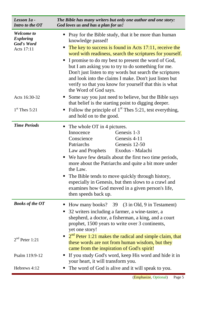| Lesson 1a -<br>Intro to the OT                                                                        | The Bible has many writers but only one author and one story:<br>God loves us and has a plan for us!                                                                                                                                                                                                                                                                                                                                                                                                                                                                                                                                                                                                                                                                    |
|-------------------------------------------------------------------------------------------------------|-------------------------------------------------------------------------------------------------------------------------------------------------------------------------------------------------------------------------------------------------------------------------------------------------------------------------------------------------------------------------------------------------------------------------------------------------------------------------------------------------------------------------------------------------------------------------------------------------------------------------------------------------------------------------------------------------------------------------------------------------------------------------|
| <b>Welcome</b> to<br><b>Exploring</b><br>God's Word<br>Acts 17:11<br>Acts 16:30-32<br>$1st$ Thes 5:21 | Pray for the Bible study, that it be more than human<br>knowledge passed!<br>The key to success is found in Acts 17:11, receive the<br>п<br>word with readiness, search the scriptures for yourself.<br>I promise to do my best to present the word of God,<br>$\blacksquare$<br>but I am asking you to try to do something for me.<br>Don't just listen to my words but search the scriptures<br>and look into the claims I make. Don't just listen but<br>verify so that you know for yourself that this is what<br>the Word of God says.<br>Some say you just need to believe, but the Bible says<br>that belief is the starting point to digging deeper.<br>Follow the principle of $1st$ Thes 5:21, test everything,<br>$\blacksquare$<br>and hold on to the good. |
| <b>Time Periods</b>                                                                                   | The whole OT in 4 pictures.<br>$\blacksquare$<br>Genesis 1-3<br>Innocence<br>Conscience<br>Genesis 4-11<br>Patriarchs<br>Genesis 12-50<br>Exodus - Malachi<br>Law and Prophets<br>We have few details about the first two time periods,<br>more about the Patriarchs and quite a bit more under<br>the Law.<br>The Bible tends to move quickly through history,<br>$\blacksquare$<br>especially in Genesis, but then slows to a crawl and<br>examines how God moved in a given person's life,<br>then speeds back up.                                                                                                                                                                                                                                                   |
| <b>Books of the OT</b><br>$2nd$ Peter 1:21<br>Psalm 119:9-12                                          | How many books? 39 (3 in Old, 9 in Testament)<br>32 writers including a farmer, a wine-taster, a<br>п<br>shepherd, a doctor, a fisherman, a king, and a court<br>prophet, 1500 years to write over 3 continents,<br>yet one story!<br>$\bullet$ $2^{nd}$ Peter 1:21 makes the radical and simple claim, that<br>these words are not from human wisdom, but they<br>came from the inspiration of God's spirit!<br>If you study God's word, keep His word and hide it in                                                                                                                                                                                                                                                                                                  |
| Hebrews 4:12                                                                                          | your heart, it will transform you.<br>The word of God is alive and it will speak to you.                                                                                                                                                                                                                                                                                                                                                                                                                                                                                                                                                                                                                                                                                |
|                                                                                                       | (Emphasize, Optional)<br>Page 5                                                                                                                                                                                                                                                                                                                                                                                                                                                                                                                                                                                                                                                                                                                                         |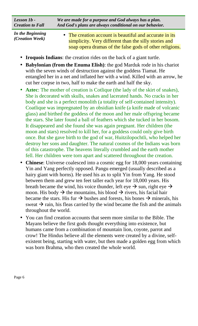| Lesson $1b$ -<br><b>Creation to Fall</b> | We are made for a purpose and God always has a plan.<br>And God's plans are always conditional on our behavior.  |  |
|------------------------------------------|------------------------------------------------------------------------------------------------------------------|--|
| In the Beginning<br>(Creation Week)      | • The creation account is beautiful and accurate in its<br>simplicity. Very different than the silly stories and |  |

- **Iroquois Indians**: the creation rides on the back of a giant turtle.
- **Babylonian (from the Enuma Elish)**: the god Marduk rode in his chariot with the seven winds of destruction against the goddess Tiamat. He entangled her in a net and inflated her with a wind. Killed with an arrow, he cut her corpse in two, half to make the earth and half the sky.

soap opera dramas of the false gods of other religions.

- **Aztec**: The mother of creation is Cotlique (the lady of the skirt of snakes), She is decorated with skulls, snakes and lacerated hands. No cracks in her body and she is a perfect monolith (a totality of self-contained intensity). Coatlique was impregnated by an obsidian knife (a knife made of volcanic glass) and birthed the goddess of the moon and her male offspring became the stars. She later found a ball of feathers which she tucked in her bosom. It disappeared and she found she was again pregnant. Her children (the moon and stars) resolved to kill her, for a goddess could only give birth once. But she gave birth to the god of war, Huitzilopochtli, who helped her destroy her sons and daughter. The natural cosmos of the Indians was born of this catastrophe. The heavens literally crumbled and the earth mother fell. Her children were torn apart and scattered throughout the creation.
- **Chinese**: Universe coalesced into a cosmic egg for 18,000 years containing Yin and Yang perfectly opposed. Pangu emerged (usually described as a hairy giant with horns). He used his ax to split Yin from Yang. He stood between them and grew ten feet taller each year for 18,000 years. His breath became the wind, his voice thunder, left eye  $\rightarrow$  sun, right eye  $\rightarrow$ moon. His body  $\rightarrow$  the mountains, his blood  $\rightarrow$  rivers, his facial hair became the stars. His fur  $\rightarrow$  bushes and forests, his bones  $\rightarrow$  minerals, his sweat  $\rightarrow$  rain, his fleas carried by the wind became the fish and the animals throughout the world.
- You can find creation accounts that seem more similar to the Bible. The Mayans believe the first gods thought everything into existence, but humans came from a combination of mountain lion, coyote, parrot and crow! The Hindus believe all the elements were created by a divine, selfexistent being, starting with water, but then made a golden egg from which was born Brahma, who then created the whole world.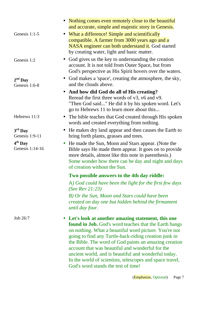|                              | • Nothing comes even remotely close to the beautiful<br>and accurate, simple and majestic story in Genesis.                                                                                                                                                                                                                                                                                                                                                                                                   |
|------------------------------|---------------------------------------------------------------------------------------------------------------------------------------------------------------------------------------------------------------------------------------------------------------------------------------------------------------------------------------------------------------------------------------------------------------------------------------------------------------------------------------------------------------|
| Genesis 1:1-5                | • What a difference! Simple and scientifically<br>compatible. A farmer from 3000 years ago and a<br><b>NASA</b> engineer can both understand it. God started<br>by creating water, light and basic matter.                                                                                                                                                                                                                                                                                                    |
| Genesis 1:2                  | God gives us the key to understanding the creation<br>$\bullet$<br>account. It is not told from Outer Space, but from<br>God's perspective as His Spirit hovers over the waters.<br>• God makes a 'space', creating the atmosphere, the sky,                                                                                                                                                                                                                                                                  |
| $2nd$ Day<br>Genesis 1:6-8   | and the clouds above.                                                                                                                                                                                                                                                                                                                                                                                                                                                                                         |
|                              | • And how did God do all of His creating?<br>Reread the first three words of v3, v6 and v9.<br>"Then God said" He did it by his spoken word. Let's<br>go to Hebrews 11 to learn more about this                                                                                                                                                                                                                                                                                                               |
| Hebrews 11:3                 | The bible teaches that God created through His spoken<br>words and created everything from nothing.                                                                                                                                                                                                                                                                                                                                                                                                           |
| $3rd$ Day<br>Genesis 1:9-11  | • He makes dry land appear and then causes the Earth to<br>bring forth plants, grasses and trees.                                                                                                                                                                                                                                                                                                                                                                                                             |
| $4th$ Day<br>Genesis 1:14-16 | He made the Sun, Moon and Stars appear. (Note the<br>$\bullet$<br>Bible says He made them appear. It goes on to provide<br>more details, almost like this note in parenthesis.)<br>Some wonder how there can be day and night and days<br>of creation without the Sun.                                                                                                                                                                                                                                        |
|                              | Two possible answers to the 4th day riddle:                                                                                                                                                                                                                                                                                                                                                                                                                                                                   |
|                              | A) God could have been the light for the first few days<br>(See Rev $21:23$ )                                                                                                                                                                                                                                                                                                                                                                                                                                 |
|                              | B) Or the Sun, Moon and Stars could have been<br>created on day one but hidden behind the firmament<br>until day four.                                                                                                                                                                                                                                                                                                                                                                                        |
| Job 26:7                     | • Let's look at another amazing statement, this one<br><b>found in Job.</b> God's word teaches that the Earth hangs<br>on nothing. What a beautiful word picture. You're not<br>going to find any Turtle-back-riding creation junk in<br>the Bible. The word of God paints an amazing creation<br>account that was beautiful and wonderful for the<br>ancient world, and is beautiful and wonderful today.<br>In the world of scientists, telescopes and space travel,<br>God's word stands the test of time! |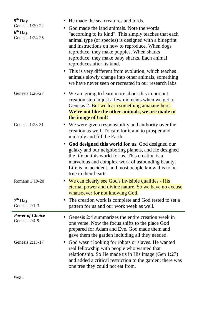| $5th$ Day<br>Genesis 1:20-22<br>$\bullet$<br>$6th$ Day<br>Genesis 1:24-25 | He made the sea creatures and birds.<br>God made the land animals. Note the words<br>"according to its kind". This simply teaches that each<br>animal type (or species) is designed with a blueprint<br>and instructions on how to reproduce. When dogs<br>reproduce, they make puppies. When sharks<br>reproduce, they make baby sharks. Each animal<br>reproduces after its kind.<br>• This is very different from evolution, which teaches<br>animals slowly change into other animals, something<br>we have never seen or recreated in our research labs. |
|---------------------------------------------------------------------------|---------------------------------------------------------------------------------------------------------------------------------------------------------------------------------------------------------------------------------------------------------------------------------------------------------------------------------------------------------------------------------------------------------------------------------------------------------------------------------------------------------------------------------------------------------------|
| Genesis 1:26-27                                                           | • We are going to learn more about this important<br>creation step in just a few moments when we get to<br>Genesis 2. But we learn something amazing here:<br>We're not like the other animals, we are made in<br>the image of God!                                                                                                                                                                                                                                                                                                                           |
| Genesis 1:28-31                                                           | • We were given responsibility and authority over the<br>creation as well. To care for it and to prosper and<br>multiply and fill the Earth.                                                                                                                                                                                                                                                                                                                                                                                                                  |
|                                                                           | • God designed this world for us. God designed our<br>galaxy and our neighboring planets, and He designed<br>the life on this world for us. This creation is a<br>marvelous and complex work of astounding beauty.<br>Life is no accident, and most people know this to be<br>true in their hearts.                                                                                                                                                                                                                                                           |
| Romans 1:19-20                                                            | • We can clearly see God's invisible qualities - His<br>eternal power and divine nature. So we have no excuse<br>whatsoever for not knowing God.                                                                                                                                                                                                                                                                                                                                                                                                              |
| $7th$ Day<br>Genesis 2:1-3                                                | The creation work is complete and God rested to set a<br>pattern for us and our work week as well.                                                                                                                                                                                                                                                                                                                                                                                                                                                            |
| <b>Power of Choice</b><br>Genesis 2:4-9                                   | Genesis 2:4 summarizes the entire creation week in<br>one verse. Now the focus shifts to the place God<br>prepared for Adam and Eve. God made them and<br>gave them the garden including all they needed.                                                                                                                                                                                                                                                                                                                                                     |
| Genesis 2:15-17                                                           | God wasn't looking for robots or slaves. He wanted<br>real fellowship with people who wanted that<br>relationship. So He made us in His image (Gen 1:27)<br>and added a critical restriction to the garden: there was<br>one tree they could not eat from.                                                                                                                                                                                                                                                                                                    |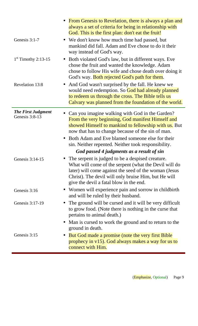|                                             | • From Genesis to Revelation, there is always a plan and<br>always a set of criteria for being in relationship with<br>God. This is the first plan: don't eat the fruit!                                                                                                                                                                                                                |
|---------------------------------------------|-----------------------------------------------------------------------------------------------------------------------------------------------------------------------------------------------------------------------------------------------------------------------------------------------------------------------------------------------------------------------------------------|
| Genesis 3:1-7                               | • We don't know how much time had passed, but<br>mankind did fall. Adam and Eve chose to do it their<br>way instead of God's way.                                                                                                                                                                                                                                                       |
| $1st$ Timothy 2:13-15                       | Both violated God's law, but in different ways. Eve<br>$\bullet$<br>chose the fruit and wanted the knowledge. Adam<br>chose to follow His wife and chose death over doing it<br>God's way. <b>Both rejected God's path for them.</b>                                                                                                                                                    |
| <b>Revelation 13:8</b>                      | And God wasn't surprised by the fall. He knew we<br>$\bullet$<br>would need redemption. So God had already planned<br>to redeem us through the cross. The Bible tells us<br>Calvary was planned from the foundation of the world.                                                                                                                                                       |
| <b>The First Judgment</b><br>Genesis 3:8-13 | Can you imagine walking with God in the Garden?<br>$\bullet$<br>From the very beginning, God manifest Himself and<br>showed Himself to mankind to fellowship with us. But<br>now that has to change because of the sin of man.<br>• Both Adam and Eve blamed someone else for their<br>sin. Neither repented. Neither took responsibility.<br>God passed 4 judgments as a result of sin |
| Genesis 3:14-15                             | The serpent is judged to be a despised creature.<br>What will come of the serpent (what the Devil will do<br>later) will come against the seed of the woman (Jesus<br>Christ). The devil will only bruise Him, but He will<br>give the devil a fatal blow in the end.                                                                                                                   |
| Genesis 3:16                                | • Women will experience pain and sorrow in child birth<br>and will be ruled by their husband.                                                                                                                                                                                                                                                                                           |
| Genesis 3:17-19                             | The ground will be cursed and it will be very difficult<br>$\bullet$<br>to grow food. (Note there is nothing in the curse that<br>pertains to animal death.)                                                                                                                                                                                                                            |
|                                             | Man is cursed to work the ground and to return to the<br>$\bullet$<br>ground in death.                                                                                                                                                                                                                                                                                                  |
| Genesis 3:15                                | But God made a promise (note the very first Bible<br>prophecy in $v15$ ). God always makes a way for us to<br>connect with Him.                                                                                                                                                                                                                                                         |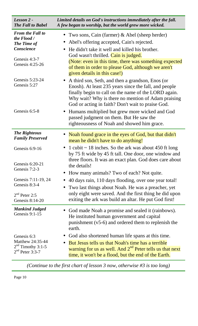| Lesson 2 -<br><b>The Fall to Babel</b>                                      | Limited details on God's instructions immediately after the fall.<br>A few began to worship, but the world grew more wicked.                                                                                                                                                 |
|-----------------------------------------------------------------------------|------------------------------------------------------------------------------------------------------------------------------------------------------------------------------------------------------------------------------------------------------------------------------|
| <b>From the Fall to</b><br>the Flood /<br>The Time of<br>Conscience         | Two sons, Cain (farmer) & Abel (sheep herder)<br>$\bullet$<br>Abel's offering accepted, Cain's rejected.<br>$\bullet$<br>He didn't take it well and killed his brother.<br>$\bullet$                                                                                         |
| Genesis 4:3-7<br>Genesis 4:25-26                                            | God wasn't thrilled. Cain is judged.<br>(Note: even in this time, there was something expected<br>of them in order to please God, although we aren't<br>given details in this case!)                                                                                         |
| Genesis 5:23-24<br>Genesis 5:27                                             | A third son, Seth, and then a grandson, Enos (or<br>Enosh). At least 235 years since the fall, and people<br>finally begin to call on the name of the LORD again.<br>Why wait? Why is there no mention of Adam praising<br>God or acting in faith? Don't wait to praise God. |
| Genesis 6:5-8                                                               | • Humans multiplied but grew more wicked and God<br>passed judgment on them. But He saw the<br>righteousness of Noah and showed him grace.                                                                                                                                   |
| <b>The Righteous</b><br><b>Family Preserved</b>                             | Noah found grace in the eyes of God, but that didn't<br>mean he didn't have to do anything!                                                                                                                                                                                  |
| Genesis 6:9-16                                                              | 1 cubit $\sim$ 18 inches. So the ark was about 450 ft long<br>$\bullet$<br>by 75 ft wide by 45 ft tall. One door, one window and<br>three floors. It was an exact plan. God does care about                                                                                  |
| Genesis 6:20-21<br>Genesis 7:2-3                                            | the details!<br>How many animals? Two of each? Not quite.<br>$\bullet$                                                                                                                                                                                                       |
| Genesis 7:11-19, 24<br>Genesis 8:3-4                                        | 40 days rain, 110 days flooding, over one year total!<br>Two last things about Noah. He was a preacher, yet<br>$\bullet$                                                                                                                                                     |
| $2nd$ Peter 2:5<br>Genesis 8:14-20                                          | only eight were saved. And the first thing he did upon<br>exiting the ark was build an altar. He put God first!                                                                                                                                                              |
| <b>Mankind Judged</b><br>Genesis 9:1-15                                     | God made Noah a promise and sealed it (rainbows).<br>He instituted human government and capital<br>punishment $(v5-6)$ and ordered them to replenish the<br>earth.                                                                                                           |
| Genesis 6:3<br>Matthew 24:35-44<br>$2nd$ Timothy 3:1-5<br>$2nd$ Peter 3:3-7 | God also shortened human life spans at this time.<br>But Jesus tells us that Noah's time has a terrible<br>$\bullet$<br>warning for us as well. And 2 <sup>nd</sup> Peter tells us that next<br>time, it won't be a flood, but the end of the Earth.                         |

*(Continue to the first chart of lesson 3 now, otherwise #3 is too long)*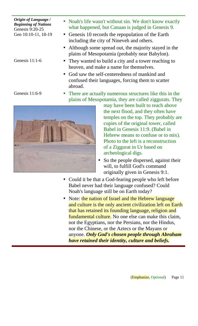*Origin of Language / Beginning of Nations*  Genesis 9:20-25 Gen 10:10-11, 18-19

Genesis 11:1-6

Genesis 11:6-9

- Noah's life wasn't without sin. We don't know exactly what happened, but Canaan is judged in Genesis 9.
- Genesis 10 records the repopulation of the Earth including the city of Nineveh and others.
- Although some spread out, the majority stayed in the plains of Mesopotamia (probably near Babylon).
- They wanted to build a city and a tower reaching to heaven, and make a name for themselves.
- God saw the self-centeredness of mankind and confused their languages, forcing them to scatter abroad.
- There are actually numerous structures like this in the plains of Mesopotamia, they are called ziggurats. They



- may have been built to reach above the next flood, and they often have temples on the top. They probably are copies of the original tower, called Babel in Genesis 11:9. (Babel in Hebrew means to confuse or to mix). Photo to the left is a reconstruction of a Ziggurat in Ur based on archeological digs.
- So the people dispersed, against their will, to fulfill God's command originally given in Genesis 9:1.
- Could it be that a God-fearing people who left before Babel never had their language confused? Could Noah's language still be on Earth today?
- Note: the nation of Israel and the Hebrew language and culture is the only ancient civilization left on Earth that has retained its founding language, religion and fundamental culture. No one else can make this claim, not the Egyptians, nor the Persians, nor the Hindus, nor the Chinese, or the Aztecs or the Mayans or anyone. *Only God's chosen people through Abraham have retained their identity, culture and beliefs.*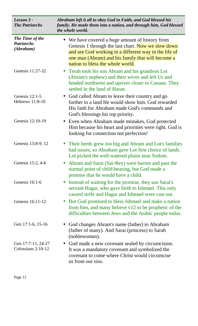| Lesson 3 -<br><b>The Patriarchs</b>               | Abraham left it all to obey God in Faith, and God blessed his<br>family. He made them into a nation, and through him, God blessed<br>the whole world.                                                                                                   |
|---------------------------------------------------|---------------------------------------------------------------------------------------------------------------------------------------------------------------------------------------------------------------------------------------------------------|
| The Time of the<br><b>Patriarchs</b><br>(Abraham) | • We have covered a huge amount of history from<br>Genesis 1 through the last chart. Now we slow down<br>and see God working in a different way in the life of<br>one man (Abram) and his family that will become a<br>nation to bless the whole world. |
| Genesis 11:27-32                                  | • Terah took his son Abram and his grandson Lot<br>(Abram's nephew) and their wives and left Ur and<br>headed northwest and upriver closer to Canaan. They<br>settled in the land of Haran.                                                             |
| Genesis $12:1-5$<br>Hebrews 11:8-10               | • God called Abram to leave their country and go<br>further to a land He would show him. God rewarded<br>His faith for Abraham made God's commands and<br>God's blessings his top priority.                                                             |
| Genesis 12:10-19                                  | • Even when Abraham made mistakes, God protected<br>Him because his heart and priorities were right. God is<br>looking for connection not perfection!                                                                                                   |
| Genesis 13:8-9, 12                                | Their herds grew too big and Abram and Lot's families<br>had issues, so Abraham gave Lot first choice of lands.<br>Lot picked the well-watered plains near Sodom.                                                                                       |
| Genesis 15:2, 4-6                                 | Abram and Sarai (Sar-Rey) were barren and past the<br>normal point of child-bearing, but God made a<br>promise that he would have a child.                                                                                                              |
| Genesis $16:1-6$                                  | Instead of waiting for the promise, they use Sarai's<br>$\bullet$<br>servant Hagar, who gave birth to Ishmael. This only<br>caused strife and Hagar and Ishmael were cast out.                                                                          |
| Genesis 16:11-12                                  | But God promised to bless Ishmael and make a nation<br>$\bullet$<br>from him, and many believe $v12$ to be prophetic of the<br>difficulties between Jews and the Arabic people today.                                                                   |
| Gen 17:1-6, 15-16                                 | God changes Abram's name (father) to Abraham<br>(father of many). And Sarai (princess) to Sarah<br>(noblewoman).                                                                                                                                        |
| Gen 17:7-11, 24-27<br>Colossians 2:10-12          | • God made a new covenant sealed by circumcision.<br>It was a mandatory covenant and symbolized the<br>covenant to come where Christ would circumcise<br>us from our sins.                                                                              |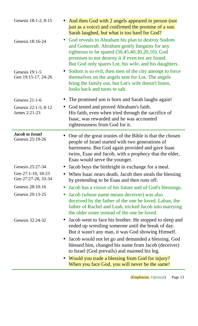| Genesis 18:1-2, 8-15                       | And then God with 2 angels appeared in person (not<br>just as a voice) and confirmed the promise of a son.<br>Sarah laughed, but what is too hard for God?                                                                                                            |
|--------------------------------------------|-----------------------------------------------------------------------------------------------------------------------------------------------------------------------------------------------------------------------------------------------------------------------|
| $\bullet$<br>Genesis 18:16-24              | God reveals to Abraham his plan to destroy Sodom<br>and Gomorrah. Abraham gently bargains for any<br>righteous to be spared $(50,45,40,30,20,10)$ . God<br>promises to not destroy it if even ten are found.<br>But God only spares Lot, his wife, and his daughters. |
| Genesis 19:1-5<br>Gen 19:15-17, 24-26      | • Sodom is so evil, then men of the city attempt to force<br>themselves on the angels sent for Lot. The angels<br>bring the family out, but Lot's wife doesn't listen,<br>looks back and turns to salt.                                                               |
| Genesis $21:1-6$                           | The promised son is born and Sarah laughs again!                                                                                                                                                                                                                      |
| Genesis 22:1-5, 8-12<br>James 2:21-23      | God tested and proved Abraham's faith.<br>$\bullet$<br>His faith, even when tried through the sacrifice of<br>Isaac, was rewarded and he was accounted<br>righteousness from God for it.                                                                              |
| <b>Jacob to Israel</b><br>Genesis 25:19-26 | One of the great ironies of the Bible is that the chosen<br>people of Israel started with two generations of<br>barrenness. But God again provided and gave Isaac<br>twins, Esau and Jacob, with a prophecy that the elder,<br>Esau would serve the younger.          |
| Genesis 25:27-34                           | Jacob buys the birthright in exchange for a meal.                                                                                                                                                                                                                     |
| Gen 27:1-10, 18-23<br>Gen 27:27-28, 33-34  | When Isaac nears death, Jacob then steals the blessing<br>by pretending to be Esau and then runs off.                                                                                                                                                                 |
| Genesis 28:10-16<br>$\bullet$              | Jacob has a vision of his future and of God's blessings.                                                                                                                                                                                                              |
| Genesis 29:13-25<br>$\bullet$              | Jacob (whose name means deceiver) was also<br>deceived by the father of the one he loved. Laban, the<br>father of Rachel and Leah, tricked Jacob into marrying<br>the older sister instead of the one he loved.                                                       |
| Genesis 32:24-32                           | Jacob went to face his brother. He stopped to sleep and<br>$\bullet$<br>ended up wrestling someone until the break of day.<br>But it wasn't any man, it was God showing Himself.                                                                                      |
|                                            | Jacob would not let go and demanded a blessing. God<br>$\bullet$<br>blessed him, changed his name from Jacob (deceiver)<br>to Israel (God prevails) and maimed his leg.                                                                                               |
|                                            | • Would you trade a blessing from God for injury?<br>When you face God, you will never be the same!                                                                                                                                                                   |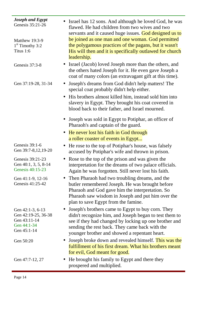| <b>Joseph and Egypt</b><br>Genesis 35:21-26                                           | Israel has 12 sons. And although he loved God, he was<br>flawed. He had children from two wives and two<br>servants and it caused huge issues. God designed us to<br>be joined as one man and one woman. God permitted                                                    |
|---------------------------------------------------------------------------------------|---------------------------------------------------------------------------------------------------------------------------------------------------------------------------------------------------------------------------------------------------------------------------|
| Matthew 19:3-9<br>$1st$ Timothy 3:2<br>Titus 1:6                                      | the polygamous practices of the pagans, but it wasn't<br>His will then and it is specifically outlawed for church<br>leadership.                                                                                                                                          |
| Genesis 37:3-8                                                                        | Israel (Jacob) loved Joseph more than the others, and<br>the others hated Joseph for it. He even gave Joseph a<br>coat of many colors (an extravagant gift at this time).                                                                                                 |
| Gen 37:19-28, 31-34                                                                   | Joseph's dreams from God didn't help matters! The<br>$\bullet$<br>special coat probably didn't help either.                                                                                                                                                               |
|                                                                                       | His brothers almost killed him, instead sold him into<br>$\bullet$<br>slavery in Egypt. They brought his coat covered in<br>blood back to their father, and Israel mourned.                                                                                               |
|                                                                                       | • Joseph was sold in Egypt to Potiphar, an officer of<br>Pharaoh's and captain of the guard.                                                                                                                                                                              |
|                                                                                       | • He never lost his faith in God through                                                                                                                                                                                                                                  |
| Genesis 39:1-6                                                                        | a roller coaster of events in Egypt                                                                                                                                                                                                                                       |
| Gen 39:7-8,12,19-20                                                                   | He rose to the top of Potiphar's house, was falsely<br>$\bullet$<br>accused by Potiphar's wife and thrown in prison.                                                                                                                                                      |
| Genesis 39:21-23<br>Gen 40:1, 3, 5, 8-14<br>Genesis 40:15-23                          | Rose to the top of the prison and was given the<br>interpretation for the dreams of two palace officials.<br>Again he was forgotten. Still never lost his faith.                                                                                                          |
| Gen 41:1-9, 12-16<br>Genesis 41:25-42                                                 | • Then Pharaoh had two troubling dreams, and the<br>butler remembered Joseph. He was brought before<br>Pharaoh and God gave him the interpretation. So<br>Pharaoh saw wisdom in Joseph and put him over the<br>plan to save Egypt from the famine.                        |
| Gen 42:1-3, 6-13<br>Gen 42:19-25, 36-38<br>Gen 43:11-14<br>Gen 44:1-34<br>Gen 45:1-14 | • Joseph's brothers came to Egypt to buy corn. They<br>didn't recognize him, and Joseph began to test them to<br>see if they had changed by locking up one brother and<br>sending the rest back. They came back with the<br>younger brother and showed a repentant heart. |
| Gen 50:20                                                                             | Joseph broke down and revealed himself. This was the<br>$\bullet$<br>fulfillment of his first dream. What his brothers meant<br>for evil, God meant for good.                                                                                                             |
| Gen 47:7-12, 27                                                                       | He brought his family to Egypt and there they<br>$\bullet$<br>prospered and multiplied.                                                                                                                                                                                   |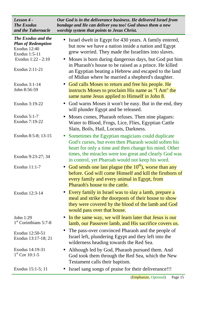| The Exodus and the<br>Israel dwelt in Egypt for 430 years. A family entered,<br>$\bullet$<br><b>Plan of Redemption</b><br>but now we have a nation inside a nation and Egypt<br><b>Exodus</b> 12:40<br>grew worried. They made the Israelites into slaves.<br>Exodus 1:5-11<br>Exodus 1:22 - 2:10<br>• Moses is born during dangerous days, but God put him<br>in Pharaoh's house to be raised as a prince. He killed<br>Exodus 2:11-21<br>an Egyptian beating a Hebrew and escaped to the land<br>of Midian where he married a shepherd's daughter.<br>• God calls Moses to return and free his people. He<br>Exodus 3:1-14<br>John 8:56-59<br>instructs Moses to proclaim His name as "I Am" the<br>same name Jesus applied to Himself in John 8.<br>• God warns Moses it won't be easy. But in the end, they<br>Exodus 3:19-22<br>will plunder Egypt and be released.<br><b>Exodus 5:1-7</b><br>Moses comes, Pharaoh refuses. Then nine plagues:<br>$\bullet$<br>Exodus 7:19-22<br>Water to Blood, Frogs, Lice, Flies, Egyptian Cattle<br>Slain, Boils, Hail, Locusts, Darkness.<br>Exodus 8:5-8; 13-15<br>Sometimes the Egyptian magicians could duplicate<br>$\bullet$<br>God's curses, but even then Pharaoh would soften his<br>heart for only a time and then change his mind. Other<br>times, the miracles were too great and clearly God was<br>Exodus 9:23-27; 34<br>in control, yet Pharoah would not keep his word.<br>God sends one last plague (the $10^{th}$ ), worse than any<br>Exodus 11:1-7<br>$\bullet$<br>before. God will come Himself and kill the firstborn of<br>every family and every animal in Egypt, from<br>Pharaoh's house to the cattle.<br>Every family in Israel was to slay a lamb, prepare a<br>Exodus 12:3-14<br>$\bullet$<br>meal and strike the doorposts of their house to show<br>they were covered by the blood of the lamb and God<br>would pass over that house.<br>In the same way, we will learn later that Jesus is our<br>John 1:29<br>$\bullet$<br>$1st$ Corinthians 5:7-8<br>lamb, our Passover lamb, and His sacrifice covers us.<br>The pass-over convinced Pharaoh and the people of<br>$\bullet$<br>Exodus 12:50-51<br>Israel left, plundering Egypt and they left into the<br>Exodus 13:17-18; 21<br>wilderness heading towards the Red Sea.<br>Exodus 14:19-31<br>Although led by God, Pharaoh pursued them. And<br>$\bullet$<br>$1st$ Cor 10:1-5<br>God took them through the Red Sea, which the New<br>Testament calls their baptism.<br>Exodus 15:1-5; 11<br>Israel sang songs of praise for their deliverance!!!<br>Page 15<br>(Emphasize, Optional) | Lesson 4 -<br><b>The Exodus</b><br>and the Tabernacle | Our God is in the deliverance business. He delivered Israel from<br>bondage and He can deliver you too! God shows them a new<br>worship system that points to Jesus Christ. |
|-------------------------------------------------------------------------------------------------------------------------------------------------------------------------------------------------------------------------------------------------------------------------------------------------------------------------------------------------------------------------------------------------------------------------------------------------------------------------------------------------------------------------------------------------------------------------------------------------------------------------------------------------------------------------------------------------------------------------------------------------------------------------------------------------------------------------------------------------------------------------------------------------------------------------------------------------------------------------------------------------------------------------------------------------------------------------------------------------------------------------------------------------------------------------------------------------------------------------------------------------------------------------------------------------------------------------------------------------------------------------------------------------------------------------------------------------------------------------------------------------------------------------------------------------------------------------------------------------------------------------------------------------------------------------------------------------------------------------------------------------------------------------------------------------------------------------------------------------------------------------------------------------------------------------------------------------------------------------------------------------------------------------------------------------------------------------------------------------------------------------------------------------------------------------------------------------------------------------------------------------------------------------------------------------------------------------------------------------------------------------------------------------------------------------------------------------------------------------------------------------------------------------------------------------------------------------------------------------------------------|-------------------------------------------------------|-----------------------------------------------------------------------------------------------------------------------------------------------------------------------------|
|                                                                                                                                                                                                                                                                                                                                                                                                                                                                                                                                                                                                                                                                                                                                                                                                                                                                                                                                                                                                                                                                                                                                                                                                                                                                                                                                                                                                                                                                                                                                                                                                                                                                                                                                                                                                                                                                                                                                                                                                                                                                                                                                                                                                                                                                                                                                                                                                                                                                                                                                                                                                                   |                                                       |                                                                                                                                                                             |
|                                                                                                                                                                                                                                                                                                                                                                                                                                                                                                                                                                                                                                                                                                                                                                                                                                                                                                                                                                                                                                                                                                                                                                                                                                                                                                                                                                                                                                                                                                                                                                                                                                                                                                                                                                                                                                                                                                                                                                                                                                                                                                                                                                                                                                                                                                                                                                                                                                                                                                                                                                                                                   |                                                       |                                                                                                                                                                             |
|                                                                                                                                                                                                                                                                                                                                                                                                                                                                                                                                                                                                                                                                                                                                                                                                                                                                                                                                                                                                                                                                                                                                                                                                                                                                                                                                                                                                                                                                                                                                                                                                                                                                                                                                                                                                                                                                                                                                                                                                                                                                                                                                                                                                                                                                                                                                                                                                                                                                                                                                                                                                                   |                                                       |                                                                                                                                                                             |
|                                                                                                                                                                                                                                                                                                                                                                                                                                                                                                                                                                                                                                                                                                                                                                                                                                                                                                                                                                                                                                                                                                                                                                                                                                                                                                                                                                                                                                                                                                                                                                                                                                                                                                                                                                                                                                                                                                                                                                                                                                                                                                                                                                                                                                                                                                                                                                                                                                                                                                                                                                                                                   |                                                       |                                                                                                                                                                             |
|                                                                                                                                                                                                                                                                                                                                                                                                                                                                                                                                                                                                                                                                                                                                                                                                                                                                                                                                                                                                                                                                                                                                                                                                                                                                                                                                                                                                                                                                                                                                                                                                                                                                                                                                                                                                                                                                                                                                                                                                                                                                                                                                                                                                                                                                                                                                                                                                                                                                                                                                                                                                                   |                                                       |                                                                                                                                                                             |
|                                                                                                                                                                                                                                                                                                                                                                                                                                                                                                                                                                                                                                                                                                                                                                                                                                                                                                                                                                                                                                                                                                                                                                                                                                                                                                                                                                                                                                                                                                                                                                                                                                                                                                                                                                                                                                                                                                                                                                                                                                                                                                                                                                                                                                                                                                                                                                                                                                                                                                                                                                                                                   |                                                       |                                                                                                                                                                             |
|                                                                                                                                                                                                                                                                                                                                                                                                                                                                                                                                                                                                                                                                                                                                                                                                                                                                                                                                                                                                                                                                                                                                                                                                                                                                                                                                                                                                                                                                                                                                                                                                                                                                                                                                                                                                                                                                                                                                                                                                                                                                                                                                                                                                                                                                                                                                                                                                                                                                                                                                                                                                                   |                                                       |                                                                                                                                                                             |
|                                                                                                                                                                                                                                                                                                                                                                                                                                                                                                                                                                                                                                                                                                                                                                                                                                                                                                                                                                                                                                                                                                                                                                                                                                                                                                                                                                                                                                                                                                                                                                                                                                                                                                                                                                                                                                                                                                                                                                                                                                                                                                                                                                                                                                                                                                                                                                                                                                                                                                                                                                                                                   |                                                       |                                                                                                                                                                             |
|                                                                                                                                                                                                                                                                                                                                                                                                                                                                                                                                                                                                                                                                                                                                                                                                                                                                                                                                                                                                                                                                                                                                                                                                                                                                                                                                                                                                                                                                                                                                                                                                                                                                                                                                                                                                                                                                                                                                                                                                                                                                                                                                                                                                                                                                                                                                                                                                                                                                                                                                                                                                                   |                                                       |                                                                                                                                                                             |
|                                                                                                                                                                                                                                                                                                                                                                                                                                                                                                                                                                                                                                                                                                                                                                                                                                                                                                                                                                                                                                                                                                                                                                                                                                                                                                                                                                                                                                                                                                                                                                                                                                                                                                                                                                                                                                                                                                                                                                                                                                                                                                                                                                                                                                                                                                                                                                                                                                                                                                                                                                                                                   |                                                       |                                                                                                                                                                             |
|                                                                                                                                                                                                                                                                                                                                                                                                                                                                                                                                                                                                                                                                                                                                                                                                                                                                                                                                                                                                                                                                                                                                                                                                                                                                                                                                                                                                                                                                                                                                                                                                                                                                                                                                                                                                                                                                                                                                                                                                                                                                                                                                                                                                                                                                                                                                                                                                                                                                                                                                                                                                                   |                                                       |                                                                                                                                                                             |
|                                                                                                                                                                                                                                                                                                                                                                                                                                                                                                                                                                                                                                                                                                                                                                                                                                                                                                                                                                                                                                                                                                                                                                                                                                                                                                                                                                                                                                                                                                                                                                                                                                                                                                                                                                                                                                                                                                                                                                                                                                                                                                                                                                                                                                                                                                                                                                                                                                                                                                                                                                                                                   |                                                       |                                                                                                                                                                             |
|                                                                                                                                                                                                                                                                                                                                                                                                                                                                                                                                                                                                                                                                                                                                                                                                                                                                                                                                                                                                                                                                                                                                                                                                                                                                                                                                                                                                                                                                                                                                                                                                                                                                                                                                                                                                                                                                                                                                                                                                                                                                                                                                                                                                                                                                                                                                                                                                                                                                                                                                                                                                                   |                                                       |                                                                                                                                                                             |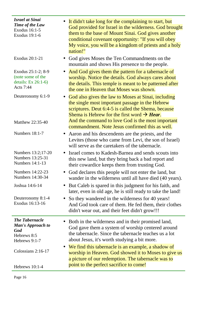| <b>Israel at Sinai</b><br>Time of the Law<br>Exodus 16:1-5<br>Exodus 19:1-6              | It didn't take long for the complaining to start, but<br>God provided for Israel in the wilderness. God brought<br>them to the base of Mount Sinai. God gives another<br>conditional covenant opportunity: "If you will obey<br>My voice, you will be a kingdom of priests and a holy<br>nation!" |
|------------------------------------------------------------------------------------------|---------------------------------------------------------------------------------------------------------------------------------------------------------------------------------------------------------------------------------------------------------------------------------------------------|
| Exodus 20:1-21                                                                           | God gives Moses the Ten Commandments on the<br>mountain and shows His presence to the people.                                                                                                                                                                                                     |
| Exodus 25:1-2; 8-9<br>(note some of the<br>details: Ex 26:1-6)<br>Acts 7:44              | And God gives them the pattern for a tabernacle of<br>$\bullet$<br>worship. Notice the details. God always cares about<br>the details. This temple is meant to be patterned after<br>the one in Heaven that Moses was shown.                                                                      |
| Deuteronomy 6:1-9                                                                        | God also gives the law to Moses at Sinai, including<br>$\bullet$<br>the single most important passage in the Hebrew<br>scriptures. Deut 6:4-5 is called the Shema, because<br>Shema is Hebrew for the first word $\rightarrow$ Hear.                                                              |
| Matthew 22:35-40                                                                         | And the command to love God is the most important<br>commandment. Note Jesus confirmed this as well.                                                                                                                                                                                              |
| Numbers 18:1-7                                                                           | Aaron and his descendents are the priests, and the<br>$\bullet$<br>Levites (those who came from Levi, the son of Israel)<br>will serve as the caretakers of the tabernacle.                                                                                                                       |
| Numbers 13:2;17-20<br>Numbers 13:25-31<br>Numbers 14:1-13                                | Israel comes to Kadesh-Barnea and sends scouts into<br>this new land, but they bring back a bad report and<br>their cowardice keeps them from trusting God.                                                                                                                                       |
| Numbers 14:22-23<br>Numbers 14:30-34                                                     | God declares this people will not enter the land, but<br>$\bullet$<br>wander in the wilderness until all have died (40 years).                                                                                                                                                                    |
| Joshua 14:6-14                                                                           | But Caleb is spared in this judgment for his faith, and<br>later, even in old age, he is still ready to take the land!                                                                                                                                                                            |
| Deuteronomy 8:1-4<br>Exodus 16:13-16                                                     | So they wandered in the wilderness for 40 years!<br>$\bullet$<br>And God took care of them. He fed them, their clothes<br>didn't wear out, and their feet didn't grow!!!                                                                                                                          |
| <b>The Tabernacle</b><br><b>Man's Approach to</b><br>God<br>Hebrews 8:5<br>Hebrews 9:1-7 | Both in the wilderness and in their promised land,<br>God gave them a system of worship centered around<br>the tabernacle. Since the tabernacle teaches us a lot<br>about Jesus, it's worth studying a bit more.                                                                                  |
| Colossians $2:16-17$                                                                     | We find this tabernacle is an example, a shadow of<br>worship in Heaven. God showed it to Moses to give us<br>a picture of our redemption. The tabernacle was to                                                                                                                                  |
| Hebrews 10:1-4                                                                           | point to the perfect sacrifice to come!                                                                                                                                                                                                                                                           |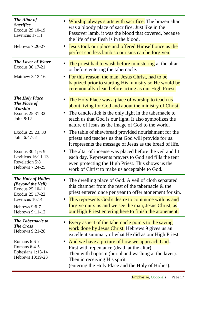| The Altar of                                                                                                                                             | Worship always starts with sacrifice. The brazen altar                                                                                                                                                                                                                                                                                           |
|----------------------------------------------------------------------------------------------------------------------------------------------------------|--------------------------------------------------------------------------------------------------------------------------------------------------------------------------------------------------------------------------------------------------------------------------------------------------------------------------------------------------|
| <b>Sacrifice</b>                                                                                                                                         | was a bloody place of sacrifice. Just like in the                                                                                                                                                                                                                                                                                                |
| Exodus 29:10-19                                                                                                                                          | Passover lamb, it was the blood that covered, because                                                                                                                                                                                                                                                                                            |
| Leviticus 17:11                                                                                                                                          | the life of the flesh is in the blood.                                                                                                                                                                                                                                                                                                           |
| Hebrews 7:26-27                                                                                                                                          | Jesus took our place and offered Himself once as the                                                                                                                                                                                                                                                                                             |
| $\bullet$                                                                                                                                                | perfect spotless lamb so our sins can be forgiven.                                                                                                                                                                                                                                                                                               |
| <b>The Laver of Water</b><br>Exodus 30:17-21<br>Matthew 3:13-16<br>$\bullet$                                                                             | The priest had to wash before ministering at the altar<br>or before entering the tabernacle.<br>For this reason, the man, Jesus Christ, had to be<br>baptized prior to starting His ministry so He would be<br>ceremonially clean before acting as our High Priest.                                                                              |
| <b>The Holy Place</b><br><b>The Place of</b><br><b>Worship</b><br>Exodus 25:31-32<br>$\bullet$<br>John 8:12                                              | The Holy Place was a place of worship to teach us<br>about living for God and about the ministry of Christ.<br>The candlestick is the only light in the tabernacle to<br>teach us that God is our light. It also symbolizes the<br>nature of Jesus as the image of God to the world.                                                             |
| Exodus 25:23, 30                                                                                                                                         | • The table of shewbread provided nourishment for the                                                                                                                                                                                                                                                                                            |
| John 6:47-51                                                                                                                                             | priests and teaches us that God will provide for us.                                                                                                                                                                                                                                                                                             |
| Exodus 30:1; 6-9                                                                                                                                         | It represents the message of Jesus as the bread of life.                                                                                                                                                                                                                                                                                         |
| $\bullet$                                                                                                                                                | The altar of incense was placed before the veil and lit                                                                                                                                                                                                                                                                                          |
| Leviticus 16:11-13                                                                                                                                       | each day. Represents prayers to God and fills the tent                                                                                                                                                                                                                                                                                           |
| <b>Revelation 5:8</b>                                                                                                                                    | even protecting the High Priest. This shows us the                                                                                                                                                                                                                                                                                               |
| Hebrews 7:24-25                                                                                                                                          | work of Christ to make us acceptable to God.                                                                                                                                                                                                                                                                                                     |
| <b>The Holy of Holies</b><br>(Beyond the Veil)<br>Exodus 25:10-11<br>Exodus 25:17-22<br>Leviticus 16:14<br>$\bullet$<br>Hebrews 9:6-7<br>Hebrews 9:11-12 | The dwelling place of God. A veil of cloth separated<br>this chamber from the rest of the tabernacle & the<br>priest entered once per year to offer atonement for sin.<br>This represents God's desire to commune with us and<br>forgive our sins and we see the man, Jesus Christ, as<br>our High Priest entering here to finish the atonement. |
| <b>The Tabernacle to</b>                                                                                                                                 | Every aspect of the tabernacle points to the saving                                                                                                                                                                                                                                                                                              |
| <b>The Cross</b>                                                                                                                                         | work done by Jesus Christ. Hebrews 9 gives us an                                                                                                                                                                                                                                                                                                 |
| Hebrews 9:21-28                                                                                                                                          | excellent summary of what He did as our High Priest.                                                                                                                                                                                                                                                                                             |
| Romans 6:6-7                                                                                                                                             | And we have a picture of how we approach God                                                                                                                                                                                                                                                                                                     |
| $\bullet$                                                                                                                                                | First with repentance (death at the altar).                                                                                                                                                                                                                                                                                                      |
| Romans 6:4-5                                                                                                                                             | Then with baptism (burial and washing at the laver).                                                                                                                                                                                                                                                                                             |
| Ephesians 1:13-14                                                                                                                                        | Then in receiving His spirit                                                                                                                                                                                                                                                                                                                     |
| Hebrews 10:19-23                                                                                                                                         | (entering the Holy Place and the Holy of Holies).                                                                                                                                                                                                                                                                                                |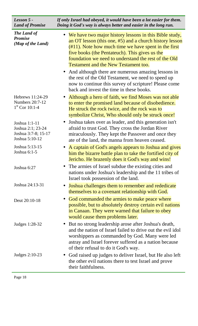| Lesson 5 -<br><b>Land of Promise</b>                                        | If only Israel had obeyed, it would have been a lot easier for them.<br>Doing it God's way is always better and easier in the long run.                                                                                                                                                                                                                                                                                                                                                                                                                             |
|-----------------------------------------------------------------------------|---------------------------------------------------------------------------------------------------------------------------------------------------------------------------------------------------------------------------------------------------------------------------------------------------------------------------------------------------------------------------------------------------------------------------------------------------------------------------------------------------------------------------------------------------------------------|
| The Land of<br><b>Promise</b><br>(Map of the Land)                          | • We have two major history lessons in this Bible study,<br>an OT lesson (this one, $#5$ ) and a church history lesson<br>$(\text{\#}11)$ . Note how much time we have spent in the first<br>five books (the Pentateuch). This gives us the<br>foundation we need to understand the rest of the Old<br><b>Testament and the New Testament too.</b><br>And although there are numerous amazing lessons in<br>the rest of the Old Testament, we need to speed up<br>now to continue this survey of scripture! Please come<br>back and invest the time in these books. |
| Hebrews 11:24-29<br><b>Numbers 20:7-12</b><br>$1st$ Cor 10:1-4              | Although a hero of faith, we find Moses was not able<br>to enter the promised land because of disobedience.<br>He struck the rock twice, and the rock was to<br>symbolize Christ, Who should only be struck once!                                                                                                                                                                                                                                                                                                                                                   |
| Joshua 1:1-11<br>Joshua 2:1; 23-24<br>Joshua 3:7-8; 15-17<br>Joshua 5:10-12 | Joshua takes over as leader, and this generation isn't<br>afraid to trust God. They cross the Jordan River<br>miraculously. They kept the Passover and once they<br>ate of the land, the manna from heaven ceased.                                                                                                                                                                                                                                                                                                                                                  |
| Joshua 5:13-15<br>Joshua 6:1-5                                              | A captain of God's angels appears to Joshua and gives<br>him the bizarre battle plan to take the fortified city of<br>Jericho. He brazenly does it God's way and wins!                                                                                                                                                                                                                                                                                                                                                                                              |
| Joshua 6:27                                                                 | The armies of Israel subdue the existing cities and<br>nations under Joshua's leadership and the 11 tribes of<br>Israel took possession of the land.                                                                                                                                                                                                                                                                                                                                                                                                                |
| Joshua 24:13-31                                                             | Joshua challenges them to remember and rededicate<br>$\bullet$<br>themselves to a covenant relationship with God.                                                                                                                                                                                                                                                                                                                                                                                                                                                   |
| Deut 20:10-18                                                               | God commanded the armies to make peace where<br>$\bullet$<br>possible, but to absolutely destroy certain evil nations<br>in Canaan. They were warned that failure to obey<br>would cause them problems later.                                                                                                                                                                                                                                                                                                                                                       |
| Judges 1:28-32                                                              | • But no strong leadership arose after Joshua's death,<br>and the nation of Israel failed to drive out the evil idol<br>worshippers as commanded by God. Many were led<br>astray and Israel forever suffered as a nation because<br>of their refusal to do it God's way.                                                                                                                                                                                                                                                                                            |
| Judges 2:10-23                                                              | God raised up judges to deliver Israel, but He also left<br>$\bullet$<br>the other evil nations there to test Israel and prove<br>their faithfulness.                                                                                                                                                                                                                                                                                                                                                                                                               |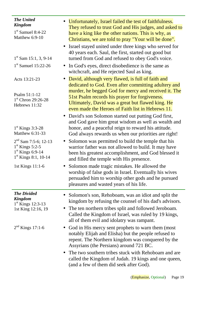| <b>The United</b><br><b>Kingdom</b><br>$1st$ Samuel 8:4-22<br>Matthew 6:9-10                       | Unfortunately, Israel failed the test of faithfulness.<br>They refused to trust God and His judges, and asked to<br>have a king like the other nations. This is why, as<br>Christians, we are told to pray "Your will be done".                                                                                                            |
|----------------------------------------------------------------------------------------------------|--------------------------------------------------------------------------------------------------------------------------------------------------------------------------------------------------------------------------------------------------------------------------------------------------------------------------------------------|
| $1st$ Sam 15:1, 3, 9-14                                                                            | Israel stayed united under three kings who served for<br>40 years each. Saul, the first, started out good but<br>turned from God and refused to obey God's voice.                                                                                                                                                                          |
| $1st$ Samuel 15:22-26                                                                              | In God's eyes, direct disobedience is the same as<br>witchcraft, and He rejected Saul as king.                                                                                                                                                                                                                                             |
| Acts 13:21-23<br>Psalm 51:1-12<br>$1st$ Chron 29:26-28<br>Hebrews 11:32                            | David, although very flawed, is full of faith and<br>$\bullet$<br>dedicated to God. Even after committing adultery and<br>murder, he begged God for mercy and received it. The<br>51st Psalm records his prayer for forgiveness.<br>Ultimately, David was a great but flawed king. He<br>even made the Heroes of Faith list in Hebrews 11. |
| $1st$ Kings 3:3-28<br>Matthew 6:31-33                                                              | David's son Solomon started out putting God first,<br>$\bullet$<br>and God gave him great wisdom as well as wealth and<br>honor, and a peaceful reign to reward his attitude.<br>God always rewards us when our priorities are right!                                                                                                      |
| $2nd$ Sam 7:5-6; 12-13<br>$1st$ Kings 5:2-5<br>$1st$ Kings 6:9-14<br>$1^{\rm st}$ Kings 8:1, 10-14 | Solomon was permitted to build the temple that his<br>$\bullet$<br>warrior father was not allowed to build. It may have<br>been his greatest accomplishment, and God blessed it<br>and filled the temple with His presence.                                                                                                                |
| 1st Kings 11:1-6                                                                                   | Solomon made tragic mistakes. He allowed the<br>worship of false gods in Israel. Eventually his wives<br>persuaded him to worship other gods and he pursued<br>pleasures and wasted years of his life.                                                                                                                                     |
| <b>The Divided</b><br><b>Kingdom</b><br>$1st$ Kings 12:3-13<br>1st King 12:16, 19                  | Solomon's son, Rehoboam, was an idiot and split the<br>kingdom by refusing the counsel of his dad's advisors.<br>The ten northern tribes split and followed Jeroboam.<br>$\bullet$<br>Called the Kingdom of Israel, was ruled by 19 kings,<br>all of them evil and idolatry was rampant.                                                   |
| $2nd$ Kings 17:1-6                                                                                 | • God in His mercy sent prophets to warn them (most)<br>notably Elijah and Elisha) but the people refused to<br>repent. The Northern kingdom was conquered by the<br>Assyrians (the Persians) around 721 BC.                                                                                                                               |
|                                                                                                    | The two southern tribes stuck with Rehoboam and are.<br>$\bullet$<br>called the Kingdom of Judah. 19 kings and one queen,<br>(and a few of them did seek after God).                                                                                                                                                                       |
|                                                                                                    |                                                                                                                                                                                                                                                                                                                                            |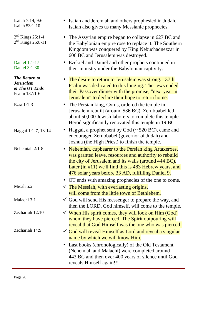| Isaiah 7:14; 9:6<br>Isaiah 53:1-10                                         | Isaiah and Jeremiah and others prophesied in Judah.<br>Isaiah also gives us many Messianic prophecies.                                                                                                                                                                                    |
|----------------------------------------------------------------------------|-------------------------------------------------------------------------------------------------------------------------------------------------------------------------------------------------------------------------------------------------------------------------------------------|
| $2nd$ Kings 25:1-4<br>$2nd$ Kings 25:8-11<br><b>Daniel 1:1-17</b>          | • The Assyrian empire began to collapse in 627 BC and<br>the Babylonian empire rose to replace it. The Southern<br>Kingdom was conquered by King Nebuchadnezzar in<br>606 BC and Jerusalem was destroyed.<br>• Ezekiel and Daniel and other prophets continued in                         |
| Daniel 3:1-30                                                              | their ministry under the Babylonian captivity.                                                                                                                                                                                                                                            |
| <b>The Return to</b><br><b>Jerusalem</b><br>& The OT Ends<br>Psalm 137:1-6 | • The desire to return to Jerusalem was strong. 137th<br>Psalm was dedicated to this longing. The Jews ended<br>their Passover dinner with the promise, "next year in<br>Jerusalem" to declare their hope to return home.                                                                 |
| Ezra 1:1-3                                                                 | • The Persian king, Cyrus, ordered the temple in<br>Jerusalem rebuilt (around 536 BC). Zerubbabel led<br>about 50,000 Jewish laborers to complete this temple.<br>Herod significantly renovated this temple in 19 BC.                                                                     |
| Haggai 1:1-7, 13-14                                                        | Haggai, a prophet sent by God $(\sim 520 \text{ BC})$ , came and<br>encouraged Zerubbabel (governor of Judah) and<br>Joshua (the High Priest) to finish the temple.                                                                                                                       |
| Nehemiah 2:1-8                                                             | Nehemiah, cupbearer to the Persian king Artaxerxes,<br>was granted leave, resources and authority to rebuild<br>the city of Jerusalem and its walls (around 444 BC).<br>Later (in $\#11$ ) we'll find this is 483 Hebrew years, and<br>476 solar years before 33 AD, fulfilling Daniel 9. |
| Micah $5:2$                                                                | OT ends with amazing prophecies of the one to come.                                                                                                                                                                                                                                       |
|                                                                            | $\checkmark$ The Messiah, with everlasting origins,<br>will come from the little town of Bethlehem.                                                                                                                                                                                       |
| Malachi 3:1                                                                | $\checkmark$ God will send His messenger to prepare the way, and<br>then the LORD, God himself, will come to the temple.                                                                                                                                                                  |
| Zechariah 12:10                                                            | $\checkmark$ When His spirit comes, they will look on Him (God)<br>whom they have pierced. The Spirit outpouring will<br>reveal that God Himself was the one who was pierced!                                                                                                             |
| Zechariah 14:9                                                             | $\checkmark$ God will reveal Himself as Lord and reveal a singular<br>name by which we will know Him.                                                                                                                                                                                     |
|                                                                            | Last books (chronologically) of the Old Testament<br>$\bullet$<br>(Nehemiah and Malachi) were completed around<br>443 BC and then over 400 years of silence until God<br>reveals Himself again!!!                                                                                         |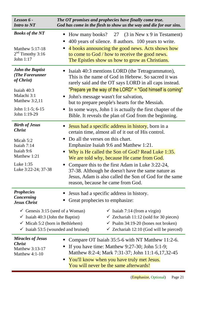| Lesson 6 -<br><b>Intro to NT</b>                                                                                                                                                      | The OT promises and prophecies have finally come true.<br>God has come in the flesh to show us the way and die for our sins.                                                                                                                                                                                                                                                                                                                                                                                                    |
|---------------------------------------------------------------------------------------------------------------------------------------------------------------------------------------|---------------------------------------------------------------------------------------------------------------------------------------------------------------------------------------------------------------------------------------------------------------------------------------------------------------------------------------------------------------------------------------------------------------------------------------------------------------------------------------------------------------------------------|
| <b>Books of the NT</b><br>Matthew 5:17-18<br>$2nd$ Timothy 3:16<br>John 1:17                                                                                                          | How many books? 27 (3 in New x 9 in Testament)<br>$\blacksquare$<br>400 years of silence. 8 authors. 100 years to write.<br>п<br>4 books announcing the good news. Acts shows how<br>п<br>to come to God / how to receive the good news.<br>The Epistles show us how to grow as Christians.                                                                                                                                                                                                                                     |
| <b>John the Baptist</b><br>(The Forerunner<br>of Christ)<br>Isaiah 40:3<br>Malachi 3:1<br>Matthew $3:2,11$<br>John 1:1-5; 6-15<br>John 1:19-29                                        | Isaiah 40:3 mentions LORD (the Tetragrammaton),<br>This is the name of God in Hebrew. So sacred it was<br>rarely said and the OT says LORD in all caps instead.<br>"Prepare ye the way of the LORD" = "God himself is coming"<br>John's message wasn't for salvation,<br>$\blacksquare$<br>but to prepare people's hearts for the Messiah.<br>In some ways, John 1 is actually the first chapter of the<br>п<br>Bible. It reveals the plan of God from the beginning.                                                           |
| <b>Birth of Jesus</b><br><b>Christ</b><br>Micah 5:2<br>Isaiah 7:14<br>Isaiah 9:6<br>Matthew 1:21<br>Luke 1:35<br>Luke 3:22-24; 37-38                                                  | <b>Jesus had a specific address in history</b> , born in a<br>certain time, almost all of it out of His control.<br>Do all the verses on this chart.<br>$\blacksquare$<br>Emphasize Isaiah 9:6 and Matthew 1:21.<br>Why is He called the Son of God? Read Luke 1:35.<br>п<br>We are told why, because He came from God.<br>Compare this to the first Adam in Luke 3:22-24,<br>37-38. Although he doesn't have the same nature as<br>Jesus, Adam is also called the Son of God for the same<br>reason, because he came from God. |
| <b>Prophecies</b><br>Concerning<br><b>Jesus Christ</b><br>Genesis 3:15 (seed of a Woman)<br>$\checkmark$ Isaiah 40:3 (John the Baptist)<br>$\checkmark$ Micah 5:2 (born in Bethlehem) | Jesus had a specific address in history.<br>Great prophecies to emphasize:<br>$\checkmark$ Isaiah 7:14 (from a virgin)<br>$\checkmark$ Zechariah 11:12 (sold for 30 pieces)<br>$\checkmark$ Psalm 34:19-20 (bones not broken)<br>$\checkmark$ Isaiah 53:5 (wounded and bruised)<br>$\checkmark$ Zechariah 12:10 (God will be pierced)                                                                                                                                                                                           |
| <b>Miracles of Jesus</b><br><b>Christ</b><br>Matthew 3:13-17<br>Matthew $4:1-10$                                                                                                      | Compare OT Isaiah 35:5-6 with NT Matthew 11:2-6.<br>If you have time: Matthew $9:27-30$ ; John $5:1-9$ ;<br>Matthew 8:2-4; Mark 7:31-37; John 11:1-6,17,32-45<br>You'll know when you have truly met Jesus.<br>п<br>You will never be the same afterwards!                                                                                                                                                                                                                                                                      |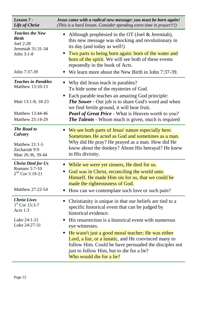| Lesson 7 -<br>Life of Christ                                                                                 | Jesus came with a radical new message: you must be born again!<br>(This is a hard lesson. Consider spending extra time in prayer!!!)                                                                                                                                                                                                                                                                                                                                                 |
|--------------------------------------------------------------------------------------------------------------|--------------------------------------------------------------------------------------------------------------------------------------------------------------------------------------------------------------------------------------------------------------------------------------------------------------------------------------------------------------------------------------------------------------------------------------------------------------------------------------|
| <b>Teaches the New</b><br><b>Birth</b><br>Joel 2:28<br>Jeremiah 31:31-34<br>John 3:1-8<br>John 7:37-39       | Although prophesied in the OT (Joel & Jeremiah),<br>п<br>this new message was shocking and revolutionary in<br>its day (and today as well!)<br>Two parts to being born again: born of the water and<br>п<br><b>born of the spirit.</b> We will see both of these events<br>repeatedly in the book of Acts.<br>We learn more about the New Birth in John 7:37-39.                                                                                                                     |
| <b>Teaches in Parables</b><br>Matthew 13:10-13<br>Matt 13:1-8; 18-23<br>Matthew 13:44-46<br>Matthew 25:14-29 | Why did Jesus teach in parables?<br>To hide some of the mysteries of God.<br>Each parable teaches an amazing God principle:<br>п<br><b>The Sower</b> - Our job is to share God's word and when<br>we find fertile ground, it will bear fruit.<br><b>Pearl of Great Price</b> - What is Heaven worth to you?<br><b>The Talents</b> - Whom much is given, much is required                                                                                                             |
| <b>The Road to</b><br>Calvary<br>Matthew $21:1-5$<br>Zechariah 9:9<br>Matt 26:36, 39-44                      | We see both parts of Jesus' nature especially here.<br>ш<br>Sometimes He acted as God and sometimes as a man.<br>Why did He pray? He prayed as a man. How did He<br>know about the donkey? About His betrayal? He knew<br>in His divinity.                                                                                                                                                                                                                                           |
| <b>Christ Died for Us</b><br>Romans 5:7-10<br>$2nd$ Cor 5:19-21<br>Matthew 27:22-54                          | While we were yet sinners, He died for us.<br>п<br>God was in Christ, reconciling the world unto<br>п<br>Himself. He made Him sin for us, that we could be<br>made the righteousness of God.<br>How can we contemplate such love or such pain?<br>п                                                                                                                                                                                                                                  |
| <b>Christ Lives</b><br>$1st$ Cor 15:3-7<br>Acts 1:3<br>Luke 24:1-21<br>Luke 24:27-31                         | Christianity is unique in that our beliefs are tied to a<br>specific historical event that can be judged by<br>historical evidence.<br>His resurrection is a historical event with numerous<br>п<br>eye witnesses.<br>He wasn't just a good moral teacher; He was either<br>$\blacksquare$<br>Lord, a liar, or a lunatic, and He convinced many to<br>follow Him. Could he have persuaded the disciples not<br>just to follow Him, but to die for a lie?<br>Who would die for a lie? |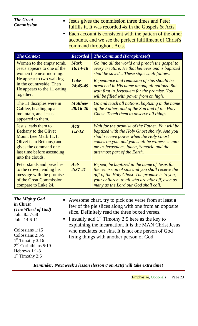| <b>The Great</b><br><b>Commission</b><br>command throughout Acts.                                                                                                                                                                              |                                | Jesus gives the commission three times and Peter<br>fulfills it. It was recorded $4x$ in the Gospels $\&$ Acts.<br>Each account is consistent with the pattern of the other<br>accounts, and we see the perfect fulfillment of Christ's                                                                                                                                            |
|------------------------------------------------------------------------------------------------------------------------------------------------------------------------------------------------------------------------------------------------|--------------------------------|------------------------------------------------------------------------------------------------------------------------------------------------------------------------------------------------------------------------------------------------------------------------------------------------------------------------------------------------------------------------------------|
| <b>The Context</b>                                                                                                                                                                                                                             | <b>Recorded</b>                | <b>The Command (Paraphrased)</b>                                                                                                                                                                                                                                                                                                                                                   |
| Women to the empty tomb.<br>Jesus appears to one of the<br>women the next morning.                                                                                                                                                             | <b>Mark</b><br>$16:14-18$      | Go into all the world and preach the gospel to<br>every creature. He that believes and is baptized<br>shall be saved These signs shall follow                                                                                                                                                                                                                                      |
| He appear to two walking<br>in the countryside. Then<br>He appears to the 11 eating<br>together.                                                                                                                                               | <b>Luke</b><br>$24:45 - 49$    | Repentance and remission of sins should be<br>preached in His name among all nations. But<br>wait first in Jerusalem for the promise. You<br>will be filled with power from on high.                                                                                                                                                                                               |
| The 11 disciples were in<br>Galilee, heading up a<br>mountain, and Jesus<br>appeared to them.                                                                                                                                                  | <b>Matthew</b><br>$28:16 - 20$ | Go and teach all nations, baptizing in the name<br>of the Father, and of the Son and of the Holy<br>Ghost. Teach them to observe all things.                                                                                                                                                                                                                                       |
| Jesus leads them to<br><b>Bethany to the Olivet</b><br>Mount (see Mark 11:1,<br>Olivet is in Bethany) and<br>gives the command one<br>last time before ascending<br>into the clouds.                                                           | <b>Acts</b><br>$1:2 - 12$      | Wait for the promise of the Father. You will be<br>baptized with the Holy Ghost shortly. And you<br>shall receive power when the Holy Ghost<br>comes on you, and you shall be witnesses unto<br>me in Jerusalem, Judea, Samaria and the<br>uttermost part of the Earth.                                                                                                            |
| Peter stands and preaches<br>to the crowd, ending his<br>message with the promise<br>of the Great Commission,<br>compare to Luke 24.                                                                                                           | <b>Acts</b><br>$2:37-41$       | Repent, be baptized in the name of Jesus for<br>the remission of sins and you shall receive the<br>gift of the Holy Ghost. The promise is to you,<br>your children, to all who are afar off, even as<br>many as the Lord our God shall call.                                                                                                                                       |
|                                                                                                                                                                                                                                                |                                |                                                                                                                                                                                                                                                                                                                                                                                    |
| <b>The Mighty God</b><br><i>in Christ</i><br>(The Wheel of God)<br>John 8:57-58<br>John 14:6-11<br>$\blacksquare$<br>Colossians 1:15<br>Colossians 2:8-9<br>$1st$ Timothy 3:16<br>$2nd$ Corinthians 5:19<br>Hebrews 1:1-3<br>$1st$ Timothy 2:5 |                                | Awesome chart, try to pick one verse from at least a<br>few of the pie slices along with one from an opposite<br>slice. Definitely read the three boxed verses.<br>I usually add $1st$ Timothy 2:5 here as the key to<br>explaining the incarnation. It is the MAN Christ Jesus<br>who mediates our sins. It is not one person of God<br>fixing things with another person of God. |

*Reminder: Next week's lesson (lesson 8 on Acts) will take extra time!*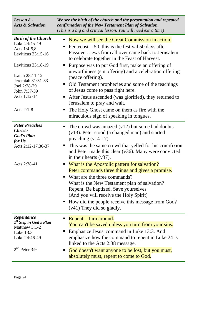| Lesson 8 -<br><b>Acts &amp; Salvation</b>                                                                          | We see the birth of the church and the presentation and repeated<br>confirmation of the New Testament Plan of Salvation.<br>(This is a big and critical lesson. You will need extra time)                                                                                                                                                                                                                                                                                                                                                                                                                                                                            |
|--------------------------------------------------------------------------------------------------------------------|----------------------------------------------------------------------------------------------------------------------------------------------------------------------------------------------------------------------------------------------------------------------------------------------------------------------------------------------------------------------------------------------------------------------------------------------------------------------------------------------------------------------------------------------------------------------------------------------------------------------------------------------------------------------|
| <b>Birth of the Church</b><br>Luke 24:45-49<br>Acts 1:4-5,8<br>Leviticus 23:15-16                                  | Now we will see the Great Commission in action.<br>п<br>Pentecost = 50, this is the festival 50 days after<br>п<br>Passover. Jews from all over came back to Jerusalem<br>to celebrate together in the Feast of Harvest.                                                                                                                                                                                                                                                                                                                                                                                                                                             |
| Leviticus $23:18-19$<br>Isaiah 28:11-12<br>Jeremiah 31:31-33<br>Joel 2:28-29<br>John 7:37-39<br>Acts 1:12-14       | Purpose was to put God first, make an offering of<br>$\blacksquare$<br>unworthiness (sin offering) and a celebration offering<br>(peace offering).<br>Old Testament prophecies and some of the teachings<br>п<br>of Jesus come to pass right here.<br>• After Jesus ascended (was glorified), they returned to<br>Jerusalem to pray and wait.                                                                                                                                                                                                                                                                                                                        |
| Acts 2:1-8                                                                                                         | The Holy Ghost came on them as fire with the<br>п<br>miraculous sign of speaking in tongues.                                                                                                                                                                                                                                                                                                                                                                                                                                                                                                                                                                         |
| <b>Peter Preaches</b><br>Christ /<br><b>God's Plan</b><br>for Us<br>Acts 2:12-17,36-37<br>Acts 2:38-41             | The crowd was amazed $(v12)$ but some had doubts<br>п<br>(v13). Peter stood (a changed man) and started<br>preaching $(v14-17)$ .<br>This was the same crowd that yelled for his crucifixion<br>п<br>and Peter made this clear (v36). Many were convicted<br>in their hearts $(v37)$ .<br>What is the Apostolic pattern for salvation?<br>Peter commands three things and gives a promise.<br>What are the three commands?<br>$\blacksquare$<br>What is the New Testament plan of salvation?<br>Repent, Be baptized, Save yourselves<br>(And you will receive the Holy Spirit)<br>• How did the people receive this message from God?<br>$(v41)$ They did so gladly. |
| Repentance<br>1 <sup>st</sup> Step in God's Plan<br>Matthew 3:1-2<br>Luke 13:3<br>Luke 24:46-49<br>$2nd$ Peter 3:9 | $Repeat = turn around.$<br>You can't be saved unless you turn from your sins.<br>Emphasize Jesus' command in Luke 13:3. And<br>ш<br>emphasize how the command to repent in Luke 24 is<br>linked to the Acts 2:38 message.<br>God doesn't want anyone to be lost, but you must,<br>п<br>absolutely must, repent to come to God.                                                                                                                                                                                                                                                                                                                                       |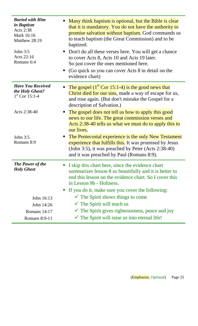| <b>Buried with Him</b><br>in Baptism<br><b>Acts 2:38</b><br>Mark 16:16<br>Matthew 28:19<br>John 3:5<br>Acts 22:16<br>Romans 6:4 | Many think baptism is optional, but the Bible is clear<br>п<br>that it is mandatory. You do not have the authority to<br>promise salvation without baptism. God commands us<br>to teach baptism (the Great Commission) and to be<br>baptized.<br>Don't do all these verses here. You will get a chance<br>to cover Acts 8, Acts 10 and Acts 19 later.<br>So just cover the ones mentioned here.<br>(Go quick so you can cover Acts 8 in detail on the<br>п<br>evidence chart) |
|---------------------------------------------------------------------------------------------------------------------------------|-------------------------------------------------------------------------------------------------------------------------------------------------------------------------------------------------------------------------------------------------------------------------------------------------------------------------------------------------------------------------------------------------------------------------------------------------------------------------------|
| <b>Have You Received</b><br>the Holy Ghost?<br>$1st$ Cor 15:1-4                                                                 | The gospel $(1^{\text{st}}$ Cor 15:1-4) is the good news that<br>п<br>Christ died for our sins, made a way of escape for us,<br>and rose again. (But don't mistake the Gospel for a<br>description of Salvation.)                                                                                                                                                                                                                                                             |
| Acts 2:38-40                                                                                                                    | The gospel does not tell us how to apply this good<br>п<br>news to our life. The great commission verses and<br>Acts 2:38-40 tells us what we must do to apply this to<br>our lives.                                                                                                                                                                                                                                                                                          |
| John 3:5<br>Romans 8:9                                                                                                          | The Pentecostal experience is the only New Testament<br>Г<br><b>experience that fulfills this.</b> It was promised by Jesus<br>(John 3:5), it was preached by Peter (Acts 2:38-40)<br>and it was preached by Paul (Romans 8:9).                                                                                                                                                                                                                                               |
| <b>The Power of the</b><br><b>Holy Ghost</b>                                                                                    | I skip this chart here, since the evidence chart<br>П<br>summarizes lesson 8 so beautifully and it is better to<br>end this lesson on the evidence chart. So I cover this<br>in Lesson 9b - Holiness.<br>If you do it, make sure you cover the following:<br>$\blacksquare$                                                                                                                                                                                                   |
| John 16:13                                                                                                                      | $\checkmark$ The Spirit shows things to come                                                                                                                                                                                                                                                                                                                                                                                                                                  |
| John 14:26                                                                                                                      | $\checkmark$ The Spirit will teach us                                                                                                                                                                                                                                                                                                                                                                                                                                         |
| Romans 14:17                                                                                                                    | $\checkmark$ The Spirit gives righteousness, peace and joy                                                                                                                                                                                                                                                                                                                                                                                                                    |
| Romans 8:9-11                                                                                                                   | $\checkmark$ The Spirit will raise us into eternal life!                                                                                                                                                                                                                                                                                                                                                                                                                      |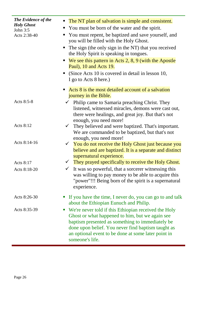| <b>The Evidence of the</b><br><b>Holy Ghost</b><br>John $3:5$<br>Acts 2:38-40 | The NT plan of salvation is simple and consistent.<br>$\blacksquare$<br>You must be born of the water and the spirit.<br>п<br>You must repent, be baptized and save yourself, and<br>you will be filled with the Holy Ghost.<br>The sign (the only sign in the NT) that you received<br>$\blacksquare$<br>the Holy Spirit is speaking in tongues.<br>We see this pattern in Acts $2, 8, 9$ (with the Apostle<br>п |
|-------------------------------------------------------------------------------|-------------------------------------------------------------------------------------------------------------------------------------------------------------------------------------------------------------------------------------------------------------------------------------------------------------------------------------------------------------------------------------------------------------------|
|                                                                               | Paul), 10 and Acts 19.<br>(Since Acts 10 is covered in detail in lesson 10,<br>п<br>I go to Acts 8 here.)                                                                                                                                                                                                                                                                                                         |
|                                                                               | Acts 8 is the most detailed account of a salvation<br>п<br>journey in the Bible.                                                                                                                                                                                                                                                                                                                                  |
| Acts 8:5-8                                                                    | Philip came to Samaria preaching Christ. They<br>listened, witnessed miracles, demons were cast out,<br>there were healings, and great joy. But that's not<br>enough, you need more!                                                                                                                                                                                                                              |
| Acts 8:12                                                                     | They believed and were baptized. That's important.<br>$\checkmark$<br>We are commanded to be baptized, but that's not<br>enough, you need more!                                                                                                                                                                                                                                                                   |
| Acts 8:14-16                                                                  | $\checkmark$ You do not receive the Holy Ghost just because you<br>believe and are baptized. It is a separate and distinct<br>supernatural experience.                                                                                                                                                                                                                                                            |
| Acts 8:17                                                                     | They prayed specifically to receive the Holy Ghost.                                                                                                                                                                                                                                                                                                                                                               |
| Acts 8:18-20                                                                  | It was so powerful, that a sorcerer witnessing this<br>$\checkmark$<br>was willing to pay money to be able to acquire this<br>"power"!!! Being born of the spirit is a supernatural<br>experience.                                                                                                                                                                                                                |
| Acts 8:26-30                                                                  | If you have the time, I never do, you can go to and talk<br>about the Ethiopian Eunuch and Philip.                                                                                                                                                                                                                                                                                                                |
| Acts 8:35-39                                                                  | We're never told if this Ethiopian received the Holy<br>$\mathcal{L}_{\mathcal{A}}$<br>Ghost or what happened to him, but we again see<br>baptism presented as something to immediately be<br>done upon belief. You never find baptism taught as<br>an optional event to be done at some later point in<br>someone's life.                                                                                        |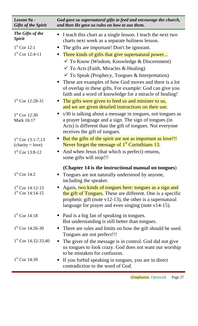| Lesson 9a -<br><b>Gifts of the Spirit</b>                  | God gave us supernatural gifts to feed and encourage the church,<br>and then He gave us rules on how to use them.                                                                                                                                                                                                                                                                                                                  |
|------------------------------------------------------------|------------------------------------------------------------------------------------------------------------------------------------------------------------------------------------------------------------------------------------------------------------------------------------------------------------------------------------------------------------------------------------------------------------------------------------|
| The Gifts of the<br><i><b>Spirit</b></i><br>$1st$ Cor 12:1 | I teach this chart as a single lesson. I teach the next two<br>charts next week as a separate holiness lesson.<br>The gifts are important! Don't be ignorant.                                                                                                                                                                                                                                                                      |
| $1st$ Cor 12:4-11                                          | Three kinds of gifts that give supernatural power<br>$\blacksquare$<br>$\checkmark$ To Know (Wisdom, Knowledge & Discernment)<br>$\checkmark$ To Acts (Faith, Miracles & Healing)<br>$\checkmark$ To Speak (Prophecy, Tongues & Interpretation)<br>• These are examples of how God moves and there is a lot<br>of overlap in these gifts. For example: God can give you<br>faith and a word of knowledge for a miracle of healing! |
| $1st$ Cor 12:28-31                                         | The gifts were given to feed us and minister to us,<br>and we are given detailed instructions on their use.                                                                                                                                                                                                                                                                                                                        |
| $1st$ Cor 12:30<br>Mark 16:17                              | v30 is talking about a message in tongues, not tongues as<br>a prayer language and a sign. The sign of tongues (in<br>Acts) is different than the gift of tongues. Not everyone<br>receives the gift of tongues.                                                                                                                                                                                                                   |
| $1st$ Cor 13:1-7,13<br>$(charity = love)$                  | But the gifts of the spirit are not as important as love!!!<br>Never forget the message of $1st$ Corinthians 13.                                                                                                                                                                                                                                                                                                                   |
| $1st$ Cor 13:8-12                                          | And when Jesus (that which is perfect) returns,<br>some gifts will stop!!!                                                                                                                                                                                                                                                                                                                                                         |
| $1st$ Cor 14:2                                             | (Chapter 14 is the instructional manual on tongues)<br>• Tongues are not naturally understood by anyone,<br>including the speaker.                                                                                                                                                                                                                                                                                                 |
| $1st$ Cor 14:12-13<br>$1st$ Cor 14:14-15                   | Again, two kinds of tongues here: tongues as a sign and<br>the gift of Tongues. These are different. One is a specific<br>prophetic gift (note $v12-13$ ), the other is a supernatural<br>language for prayer and even singing (note $v14-15$ ).                                                                                                                                                                                   |
| $1st$ Cor 14:18                                            | Paul is a big fan of speaking in tongues.<br>But understanding is still better than tongues.                                                                                                                                                                                                                                                                                                                                       |
| $1st$ Cor 14:26-30                                         | There are rules and limits on how the gift should be used.<br>Tongues are not perfect!!!                                                                                                                                                                                                                                                                                                                                           |
| $1st$ Cor 14:32-33,40                                      | The giver of the message is in control. God did not give<br>$\blacksquare$<br>us tongues to look crazy. God does not want our worship<br>to be mistaken for confusion.                                                                                                                                                                                                                                                             |
| $1st$ Cor 14:39                                            | If you forbid speaking in tongues, you are in direct<br>contradiction to the word of God.                                                                                                                                                                                                                                                                                                                                          |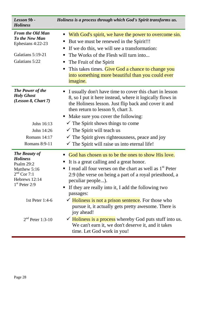| Lesson 9b -<br><b>Holiness</b>                                                                                                                                             | Holiness is a process through which God's Spirit transforms us.                                                                                                                                                                                                                                                                                                                                                                                                                                                                                                                                                                        |
|----------------------------------------------------------------------------------------------------------------------------------------------------------------------------|----------------------------------------------------------------------------------------------------------------------------------------------------------------------------------------------------------------------------------------------------------------------------------------------------------------------------------------------------------------------------------------------------------------------------------------------------------------------------------------------------------------------------------------------------------------------------------------------------------------------------------------|
| <b>From the Old Man</b><br>To the New Man<br>Ephesians 4:22-23<br>Galatians 5:19-21<br>Galatians 5:22                                                                      | With God's spirit, we have the power to overcome sin.<br>п<br>But we must be renewed in the Spirit!!!<br>п<br>If we do this, we will see a transformation:<br>п<br>The Works of the Flesh will turn into<br>п<br>The Fruit of the Spirit<br>п<br>This takes times. Give God a chance to change you<br>П<br>into something more beautiful than you could ever<br><i>imagine.</i>                                                                                                                                                                                                                                                        |
| <b>The Power of the</b><br><b>Holy Ghost</b><br>(Lesson 8, Chart 7)<br>John 16:13<br>John 14:26<br>Romans 14:17<br>Romans 8:9-11                                           | I usually don't have time to cover this chart in lesson<br>п<br>8, so I put it here instead, where it logically flows in<br>the Holiness lesson. Just flip back and cover it and<br>then return to lesson 9, chart 3.<br>Make sure you cover the following:<br>$\blacksquare$<br>$\checkmark$ The Spirit shows things to come<br>$\checkmark$ The Spirit will teach us<br>$\checkmark$ The Spirit gives righteousness, peace and joy<br>$\checkmark$ The Spirit will raise us into eternal life!                                                                                                                                       |
| <b>The Beauty of</b><br><b>Holiness</b><br><b>Psalm 29:2</b><br>Matthew 5:16<br>$2nd$ Cor 7:1<br>Hebrews 12:14<br>$1st$ Peter 2:9<br>1st Peter 1:4-6<br>$2nd$ Peter 1:3-10 | God has chosen us to be the ones to show His love.<br>It is a great calling and a great honor.<br>I read all four verses on the chart as well as 1 <sup>st</sup> Peter<br>п<br>2:9 (the verse on being a part of a royal priesthood, a<br>peculiar people).<br>If they are really into it, I add the following two<br>п<br>passages:<br>$\checkmark$ Holiness is not a prison sentence. For those who<br>pursue it, it actually gets pretty awesome. There is<br>joy ahead!<br>$\checkmark$ Holiness is a process whereby God puts stuff into us.<br>We can't earn it, we don't deserve it, and it takes<br>time. Let God work in you! |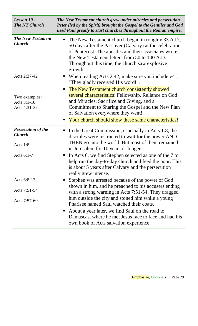| Lesson 10 -<br><b>The NT Church</b>                    | The New Testament church grew under miracles and persecution.<br>Peter (led by the Spirit) brought the Gospel to the Gentiles and God<br>used Paul greatly to start churches throughout the Roman empire.                                                                                 |
|--------------------------------------------------------|-------------------------------------------------------------------------------------------------------------------------------------------------------------------------------------------------------------------------------------------------------------------------------------------|
| <b>The New Testament</b><br><b>Church</b>              | The New Testament church began in roughly 33 A.D.,<br>п<br>50 days after the Passover (Calvary) at the celebration<br>of Pentecost. The apostles and their associates wrote<br>the New Testament letters from 50 to 100 A.D.<br>Throughout this time, the church saw explosive<br>growth. |
| Acts 2:37-42                                           | When reading Acts 2:42, make sure you include v41,<br>п<br>"They gladly received His word!".                                                                                                                                                                                              |
| Two examples:<br>Acts 3:1-10<br>Acts 4:31-37           | The New Testament church consistently showed<br>several characteristics: Fellowship, Reliance on God<br>and Miracles, Sacrifice and Giving, and a<br>Commitment to Sharing the Gospel and the New Plan<br>of Salvation everywhere they went!                                              |
|                                                        | Your church should show these same characteristics!<br>٠                                                                                                                                                                                                                                  |
| <b>Persecution of the</b><br><b>Church</b><br>Acts 1:8 | In the Great Commission, especially in Acts 1:8, the<br>$\blacksquare$<br>disciples were instructed to wait for the power AND<br>THEN go into the world. But most of them remained<br>in Jerusalem for 10 years or longer.                                                                |
| Acts 6:1-7                                             | In Acts 6, we find Stephen selected as one of the 7 to<br>ш<br>help run the day-to-day church and feed the poor. This<br>is about 5 years after Calvary and the persecution<br>really grew intense.                                                                                       |
| Acts 6:8-13                                            | Stephen was arrested because of the power of God<br>п                                                                                                                                                                                                                                     |
| Acts 7:51-54                                           | shown in him, and he preached to his accusers ending<br>with a strong warning in Acts 7:51-54. They dragged                                                                                                                                                                               |
| Acts 7:57-60                                           | him outside the city and stoned him while a young<br>Pharisee named Saul watched their coats.                                                                                                                                                                                             |
|                                                        | About a year later, we find Saul on the road to<br>ш<br>Damascas, where he met Jesus face to face and had his<br>own book of Acts salvation experience.                                                                                                                                   |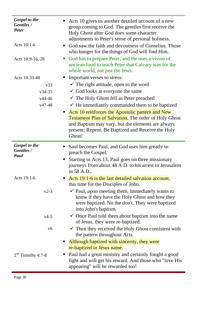| <b>Gospel to the</b><br>Gentiles /<br><b>Peter</b> | Acts 10 gives us another detailed account of a new<br>group coming to God. The gentiles first receive the<br>Holy Ghost after God does some character<br>adjustments to Peter's sense of personal holiness.                              |
|----------------------------------------------------|------------------------------------------------------------------------------------------------------------------------------------------------------------------------------------------------------------------------------------------|
| Acts 10:1-6                                        | God saw the faith and devoutness of Cornelius. Those<br>п<br>who hunger for the things of God will find Him.                                                                                                                             |
| Acts 10:9-16, 28                                   | God has to prepare Peter, and He uses a vision of<br>$\mathcal{L}_{\mathcal{A}}$<br>unclean food to teach Peter that Calvary was for the<br>whole world, not just the Jews.                                                              |
| Acts 10:33-48                                      | Important verses to stress:                                                                                                                                                                                                              |
| v33                                                | $\checkmark$ The right attitude, open to the word                                                                                                                                                                                        |
| $v34-35$                                           | $\checkmark$ God looks at everyone the same                                                                                                                                                                                              |
| $v44-46$                                           | $\checkmark$ The Holy Ghost fell as Peter preached                                                                                                                                                                                       |
| $v47-48$                                           | $\checkmark$ He immediately commanded them to be baptized                                                                                                                                                                                |
|                                                    | Acts 10 reinforces the Apostolic pattern and New<br>п<br><b>Testament Plan of Salvation.</b> The order of Holy Ghost<br>and Baptism may vary, but the elements are always<br>present: Repent, Be Baptized and Receive the Holy<br>Ghost! |
| <b>Gospel to the</b><br>Gentiles /<br>Paul         | Saul becomes Paul, and God uses him greatly to<br>ш<br>preach the Gospel.                                                                                                                                                                |
|                                                    | Starting in Acts 13, Paul goes on three missionary<br>journeys from about 48 A.D. to his arrest in Jerusalem<br>in 58 A.D                                                                                                                |
| Acts 19:1-6                                        | Acts 19:1-6 is the last detailed salvation account,<br>п<br>this time for the Disciples of John.                                                                                                                                         |
| $v2-3$                                             | $\checkmark$ Paul, upon meeting them, immediately wants to<br>know if they have the Holy Ghost and how they<br>were baptized. No the don't. They were baptized<br>into John's baptism.                                                   |
| $v4-5$                                             | $\checkmark$ Once Paul told them about baptism into the name<br>of Jesus, they were re-baptized.                                                                                                                                         |
| v6                                                 | $\checkmark$ Then they received the Holy Ghost consistent with<br>the pattern throughout Acts.                                                                                                                                           |
|                                                    | Although baptized with sincerity, they were<br>ш<br>re-baptized in Jesus name.                                                                                                                                                           |
| $2nd$ Timothy 4:7-8                                | Paul had a great ministry and certainly fought a good<br>Г<br>fight and will get his reward. And those who "love His<br>appearing" will be rewarded too!                                                                                 |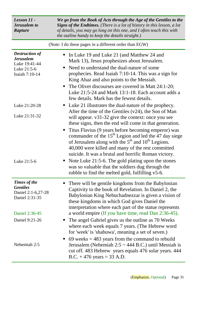| Lesson 11 -<br><b>Jerusalem</b> to<br><b>Rapture</b>                                        | We go from the Book of Acts through the Age of the Gentiles to the<br><b>Signs of the Endtimes.</b> (There is a lot of history in this lesson, a lot<br>of details, you may go long on this one, and I often teach this with<br><i>the outline handy to keep the details straight.)</i>                                                                                                                                                                                                                                                                                                                                                                                                                                       |  |
|---------------------------------------------------------------------------------------------|-------------------------------------------------------------------------------------------------------------------------------------------------------------------------------------------------------------------------------------------------------------------------------------------------------------------------------------------------------------------------------------------------------------------------------------------------------------------------------------------------------------------------------------------------------------------------------------------------------------------------------------------------------------------------------------------------------------------------------|--|
| (Note: I do these pages in a different order than EGW)                                      |                                                                                                                                                                                                                                                                                                                                                                                                                                                                                                                                                                                                                                                                                                                               |  |
| <b>Destruction of</b><br><b>Jerusalem</b><br>Luke 19:41-44<br>Luke 21:5-6<br>Isaiah 7:10-14 | In Luke 19 and Luke 21 (and Matthew 24 and<br>п<br>Mark 13), Jesus prophesizes about Jerusalem.<br>Need to understand the dual-nature of some<br>п<br>prophecies. Read Isaiah 7:10-14. This was a sign for<br>King Ahaz and also points to the Messiah.<br>The Olivet discourses are covered in Matt 24:1-20;<br>п<br>Luke 21:5-24 and Mark 13:1-18. Each account adds a<br>few details. Mark has the fewest details.                                                                                                                                                                                                                                                                                                         |  |
| Luke 21:20-28<br>Luke 21:31-32<br>Luke 21:5-6                                               | Luke 21 illustrates the dual-nature of the prophecy.<br>$\blacksquare$<br>After the time of the Gentiles $(v24)$ , the Son of Man<br>will appear. v31-32 give the context: once you see<br>these signs, then the end will come in that generation.<br>Titus Flavius (9 years before becoming emperor) was<br>commander of the $15th$ Legion and led the 47 day siege<br>of Jerusalem along with the 5 <sup>th</sup> and 10 <sup>th</sup> Legions.<br>40,000 were killed and many of the rest committed<br>suicide. It was a brutal and horrific Roman victory.<br>Note Luke 21:5-6. The gold plating upon the stones<br>was so valuable that the soldiers dug through the<br>rubble to find the melted gold, fulfilling v5-6. |  |
| Times of the<br><b>Gentiles</b><br>Daniel 2:1-6,27-28<br>Daniel 2:31-35<br>Daniel 2:36-45   | There will be gentile kingdoms from the Babylonian<br>п<br>Captivity to the book of Revelation. In Daniel 2, the<br>Babylonian King Nebuchadnezzar is given a vision of<br>these kingdoms in which God gives Daniel the<br>interpretation where each part of the statue represents<br>a world empire (If you have time, read Dan 2:36-45).                                                                                                                                                                                                                                                                                                                                                                                    |  |
| Daniel 9:21-26<br>Nehemiah 2:5                                                              | The angel Gabriel gives us the outline as 70 Weeks<br>п<br>where each week equals 7 years. (The Hebrew word<br>for 'week' is 'shabuwa', meaning a set of seven.)<br>69 weeks $=$ 483 years from the command to rebuild<br>п<br>Jerusalem (Nehemiah $2:5 \sim 444$ B.C.) until Messiah is<br>cut off. 483 Hebrew years equals 476 solar years. 444<br>B.C. $+476$ years = 33 A.D.                                                                                                                                                                                                                                                                                                                                              |  |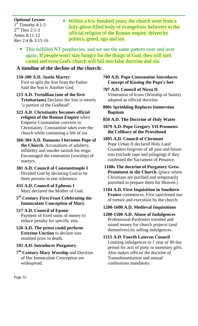#### *Optional Lesson*   $1^{\overline{st}}$  Timothy 4:1-3  $2<sup>nd</sup>$  Thes 2:1-3 Amos 8:11-12 Rev 2:4 & 3:15-16

- **Within a few hundred years, the church went from a** holy-ghost-filled body of evangelistic believers to the official religion of the Roman empire, driven by politics, greed, ego and sin.
- This fulfilled NT prophecies, and we see the same pattern over and over again. If people won't stay hungry for the things of God, they will turn carnal and even God's church will fall into false doctrine and sin.

# **A timeline of the decline of the church:**

# **150-200 A.D. Justin Martyr**

First to split the Son from the Father. Said the Son is Another God.

- **213 A.D. Tertullian (one of the first Trinitarians)** Declares the Son is merely "a portion of the Godhead".
- **323 A.D. Christianity becomes official religion of the Roman Empire** when Emperor Constantine converts to Christianity. Constantine takes over the church while continuing a life of sin.

#### **366-384 A.D. Damasus I becomes Pope of the Church.** Accusations of adultery, infidelity and murder tarnish his reign. Encouraged the veneration (worship) of martyrs.

**381 A.D. Council of Constantinople I**  Divided God by declaring God to be three persons in one substance.

#### **431 A.D. Council of Ephesus I**  Mary declared the Mother of God.

**5 th Century First Feast Celebrating the Immaculate Conception of Mary**

#### **517 A.D. Council of Epaon**  Payment of fixed sums of money to reduce penalty for specific sins.

**526 A.D. The priest could perform Extreme Unction** to declare sins remitted prior to death**.** 

# **593 A.D. Introduces Purgatory**

**7 th Century Mary Worship** and Doctrine of Her Immaculate Conception are widespread.

#### **709 A.D. Pope Constantine Introduces Concept of Kissing the Pope's feet**

**787 A.D. Council of Nicea II**  Veneration of Icons (Worship of Saints) adopted as official doctrine.

**800s Sprinkling Replaces Immersion Baptism** 

# **850 A.D. The Doctrine of Holy Water**

#### **1079 A.D. Pope Gregory VII Promotes the Celibacy of the Priesthood**

# **1095 A.D. Council of Clermont**

Pope Urban II declared Holy Land Crusaders forgiven of all past and future sins (include rape and pillaging) if they confessed the Sacrament of Penance.

 **1100s The doctrine of Purgatory Grew Prominent in the Church.** (place where Christians are purified and temporarily punished to prepare them for Heaven.)

**1184 A.D. First Inquisition in Southern France** commences. First sanctioned use of torture and execution by the church.

#### **1200-1600 A.D. Medieval Inquisitions**

**1200-1500 A.D. Abuse of Indulgences**  Professional-Pardoners traveled and raised money for church projects (and themselves) by selling indulgences.

**1215 A.D. Fourth Lateran Council**  Limiting indulgences to 1 year or 40 day period for acts of piety or monetary gifts. Also makes official the doctrine of Transubstantiation and annual confessions mandatory.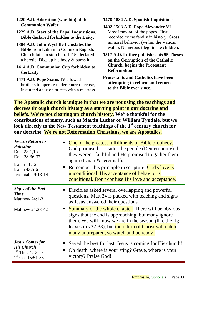#### **1220 A.D. Adoration (worship) of the Communion Wafer**

#### **1229 A.D. Start of the Papal Inquisitions. Bible declared forbidden to the Laity.**

**1384 A.D. John Wycliffe translates the Bible** from Latin into Common English. Church fails to stop him. 1415, declared a heretic. Digs up his body & burns it.

#### **1414 A.D. Communion Cup forbidden to the Laity**

**1471 A.D. Pope Sixtus IV** allowed brothels to operate under church license, instituted a tax on priests with a mistress.

# **1478-1834 A.D. Spanish Inquisitions**

**1492-1503 A.D. Pope Alexander VI**  Most immoral of the popes. First recorded crime family in history. Gross immoral behavior (within the Vatican walls). Numerous illegitimate children.

**1517 A.D. Luther publishes his 95 Theses on the Corruption of the Catholic Church, begins the Protestant Reformation**

#### **Protestants and Catholics have been attempting to reform and return to the Bible ever since.**

**The Apostolic church is unique in that we are not using the teachings and decrees through church history as a starting point in our doctrine and beliefs. We're not cleaning up church history. We're thankful for the contributions of many, such as Martin Luther or William Tyndale, but we look directly to the New Testament teachings of the 1st century church for our doctrine. We're not Reformation Christians, we are Apostolics.**

| <b>Jewish Return to</b>                                               | One of the greatest fulfillments of Bible prophecy.                                                                                                                                                                                                                                                                                                                                                                                                   |
|-----------------------------------------------------------------------|-------------------------------------------------------------------------------------------------------------------------------------------------------------------------------------------------------------------------------------------------------------------------------------------------------------------------------------------------------------------------------------------------------------------------------------------------------|
| <b>Palestine</b>                                                      | God promised to scatter the people (Deuteronomy) if                                                                                                                                                                                                                                                                                                                                                                                                   |
| Deut 28:1,15                                                          | they weren't faithful and He promised to gather them                                                                                                                                                                                                                                                                                                                                                                                                  |
| Deut 28:36-37                                                         | again (Isaiah & Jeremiah).                                                                                                                                                                                                                                                                                                                                                                                                                            |
| Isaiah $11:12$                                                        | Remember this principle in scripture: God's love is                                                                                                                                                                                                                                                                                                                                                                                                   |
| Isaiah 43:5-6                                                         | unconditional. His acceptance of behavior is                                                                                                                                                                                                                                                                                                                                                                                                          |
| Jeremiah 29:13-14                                                     | conditional. Don't confuse His love and acceptance.                                                                                                                                                                                                                                                                                                                                                                                                   |
| <b>Signs of the End</b><br>Time<br>Matthew 24:1-3<br>Matthew 24:33-42 | Disciples asked several overlapping and powerful<br>questions. Matt 24 is packed with teaching and signs<br>as Jesus answered their questions.<br><b>Summary of the whole chapter.</b> There will be obvious<br>$\blacksquare$ .<br>signs that the end is approaching, but many ignore<br>them. We will know we are in the season (like the fig.<br>leaves in v32-33), but the return of Christ will catch<br>many unprepared, so watch and be ready! |
| <b>Jesus Comes for</b>                                                | Saved the best for last. Jesus is coming for His church!                                                                                                                                                                                                                                                                                                                                                                                              |
| <b>His Church</b>                                                     | Oh death, where is your sting? Grave, where is your                                                                                                                                                                                                                                                                                                                                                                                                   |
| $1st$ Thes 4:13-17                                                    | п                                                                                                                                                                                                                                                                                                                                                                                                                                                     |
| $1st$ Cor 15:51-55                                                    | victory? Praise God!                                                                                                                                                                                                                                                                                                                                                                                                                                  |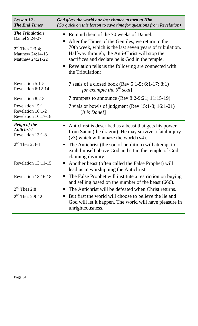| Lesson 12 -<br><b>The End Times</b>                                                   | God gives the world one last chance to turn to Him.<br>(Go quick on this lesson to save time for questions from Revelation)                                                                                                                                                                              |
|---------------------------------------------------------------------------------------|----------------------------------------------------------------------------------------------------------------------------------------------------------------------------------------------------------------------------------------------------------------------------------------------------------|
| <b>The Tribulation</b>                                                                | Remind them of the 70 weeks of Daniel.<br>п                                                                                                                                                                                                                                                              |
| Daniel 9:24-27<br>$2^{nd}$ Thes 2:3-4;<br>Matthew 24:14-15<br><b>Matthew 24:21-22</b> | After the Times of the Gentiles, we return to the<br>п<br>70th week, which is the last seven years of tribulation.<br>Halfway through, the Anti-Christ will stop the<br>sacrifices and declare he is God in the temple.<br>Revelation tells us the following are connected with<br>п<br>the Tribulation: |
| Revelation 5:1-5<br>Revelation 6:12-14                                                | 7 seals of a closed book (Rev 5:1-5; 6:1-17; 8:1)<br>[for example the $6^{th}$ seal]                                                                                                                                                                                                                     |
| Revelation 8:2-8                                                                      | 7 trumpets to announce (Rev 8:2-9:21; 11:15-19)                                                                                                                                                                                                                                                          |
| Revelation 15:1<br>Revelation 16:1-2<br>Revelation 16:17-18                           | 7 vials or bowls of judgment (Rev 15:1-8; 16:1-21)<br>[ <i>It is Done!</i> ]                                                                                                                                                                                                                             |
| <b>Reign of the</b><br><b>Antichrist</b><br>Revelation 13:1-8                         | Antichrist is described as a beast that gets his power<br>from Satan (the dragon). He may survive a fatal injury<br>$(v3)$ which will amaze the world $(v4)$ .                                                                                                                                           |
| $2nd$ Thes 2:3-4                                                                      | The Antichrist (the son of perdition) will attempt to<br>$\blacksquare$<br>exalt himself above God and sit in the temple of God<br>claiming divinity.                                                                                                                                                    |
| Revelation 13:11-15                                                                   | Another beast (often called the False Prophet) will<br>п<br>lead us in worshipping the Antichrist.                                                                                                                                                                                                       |
| Revelation 13:16-18                                                                   | The False Prophet will institute a restriction on buying<br>п<br>and selling based on the number of the beast (666).                                                                                                                                                                                     |
| $2nd$ Thes 2:8                                                                        | The Antichrist will be defeated when Christ returns.<br>ш                                                                                                                                                                                                                                                |
| $2nd$ Thes 2:9-12                                                                     | But first the world will choose to believe the lie and<br>п<br>God will let it happen. The world will have pleasure in<br>unrighteousness.                                                                                                                                                               |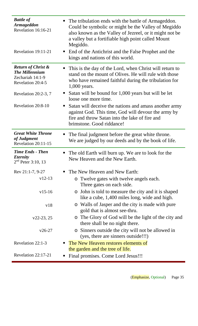| <b>Battle of</b><br><b>Armageddon</b><br>Revelation 16:16-21                                    | The tribulation ends with the battle of Armageddon.<br>п<br>Could be symbolic or might be the Valley of Megiddo<br>also known as the Valley of Jezreel, or it might not be<br>a valley but a fortifiable high point called Mount<br>Megiddo. |
|-------------------------------------------------------------------------------------------------|----------------------------------------------------------------------------------------------------------------------------------------------------------------------------------------------------------------------------------------------|
| Revelation 19:11-21                                                                             | End of the Antichrist and the False Prophet and the<br>П<br>kings and nations of this world.                                                                                                                                                 |
| <b>Return of Christ &amp;</b><br><b>The Millennium</b><br>Zechariah 14:1-9<br>Revelation 20:4-5 | This is the day of the Lord, when Christ will return to<br>п<br>stand on the mount of Olives. He will rule with those<br>who have remained faithful during the tribulation for<br>1,000 years.                                               |
| Revelation $20:2-3,7$                                                                           | Satan will be bound for 1,000 years but will be let<br>п<br>loose one more time.                                                                                                                                                             |
| Revelation 20:8-10                                                                              | Satan will deceive the nations and amass another army<br>п<br>against God. This time, God will devour the army by<br>fire and throw Satan into the lake of fire and<br>brimstone. Good riddance!                                             |
| <b>Great White Throne</b>                                                                       | The final judgment before the great white throne.<br>п                                                                                                                                                                                       |
| of Judgment<br>Revelation 20:11-15                                                              | We are judged by our deeds and by the book of life.                                                                                                                                                                                          |
| <b>Time Ends - Then</b><br><i><b>Eternity</b></i><br>$2nd$ Peter 3:10, 13                       | The old Earth will burn up. We are to look for the<br>п<br>New Heaven and the New Earth.                                                                                                                                                     |
| Rev 21:1-7, 9-27                                                                                | The New Heaven and New Earth:<br>п                                                                                                                                                                                                           |
| $v12-13$                                                                                        | o Twelve gates with twelve angels each.<br>Three gates on each side.                                                                                                                                                                         |
| $v15-16$                                                                                        | • John is told to measure the city and it is shaped<br>like a cube, 1,400 miles long, wide and high.                                                                                                                                         |
| v18                                                                                             | o Walls of Jasper and the city is made with pure<br>gold that is almost see-thru.                                                                                                                                                            |
| $v22-23, 25$                                                                                    | o The Glory of God will be the light of the city and<br>there shall be no night there.                                                                                                                                                       |
| $v26-27$                                                                                        | o Sinners outside the city will not be allowed in<br>(yes, there are sinners outside!!!)                                                                                                                                                     |
| Revelation 22:1-3                                                                               | The New Heaven restores elements of<br>п<br>the garden and the tree of life.                                                                                                                                                                 |